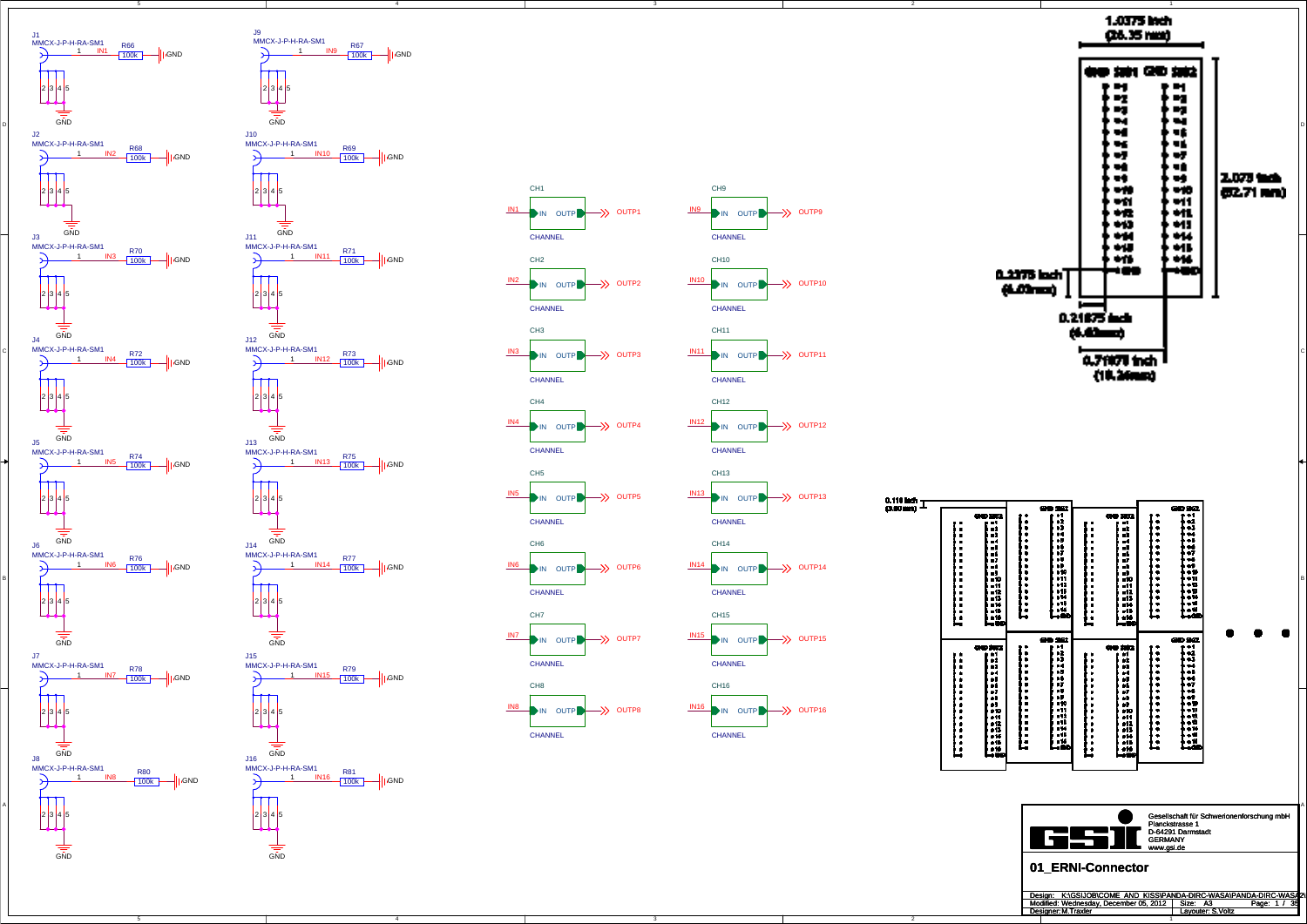4

3

3

2

2

C



|                                                                         |                                                                                                                                                                                                    | - 2<br>œz                                                                                                       |                                                                                                                                                       |                                                                                                                         |        | @D 9@                                                                            |
|-------------------------------------------------------------------------|----------------------------------------------------------------------------------------------------------------------------------------------------------------------------------------------------|-----------------------------------------------------------------------------------------------------------------|-------------------------------------------------------------------------------------------------------------------------------------------------------|-------------------------------------------------------------------------------------------------------------------------|--------|----------------------------------------------------------------------------------|
| ・頭の<br>ш<br>٠<br>uŻ,<br>-3<br>и<br>ū<br>计可归纳机<br>-13<br>X<br>-16<br>÷   | ٠<br>$\bullet$<br>٠<br>٠<br>$\bullet$<br>٠<br>٠<br>ь<br>$\blacksquare$<br>$\bullet$<br>$\bullet$<br>ь<br>$\blacksquare$<br>٠<br>Ŀ                                                                  | 0<br>w<br>и<br>٠Б<br>66<br>vī<br>т<br>ıÞ.<br>, 10<br>ш<br>11<br>ы<br>۰.<br>ш<br>н.                              | ■<br>Ξ<br>٠<br>$\blacksquare$<br>■<br>٠<br>$\blacksquare$<br>٠<br>$\blacksquare$<br>٠<br>$\blacksquare$<br>$\blacksquare$<br>■<br>$\blacksquare$<br>Ŀ | 母母 深況<br>п<br>Ē<br>пź.<br>uð.<br>м<br>u۴<br>н.<br>57<br>۰.<br>ı9<br>- 10<br>-11<br>-11<br>=15<br>-14<br>-11<br>416<br>÷ | ٠<br>Ŀ | H<br>43<br>ü<br>÷<br>v.<br>w<br>۰.<br>٠H<br>٠ū<br>۰.<br>٠.<br>۵Ú<br>ان م<br>.com |
| ana<br>1<br>а,<br>٠,<br>ä<br>۵â<br>٠,<br>前品牌<br>#12<br>4<br>e1b<br>. 16 | ٠<br>٠<br>٠<br>$\blacksquare$<br>$\blacksquare$<br>٠<br>Į.<br>u<br>$\blacksquare$<br>$\blacksquare$<br>$\blacksquare$<br>$\blacksquare$<br>$\blacksquare$<br>$\blacksquare$<br>$\blacksquare$<br>Î | œ<br>52<br>H<br>93<br>ы<br>۰.<br>ν,<br>w<br>ı<br>٠P<br>-10<br>41<br>- 12<br>n<br>- 4<br>38<br>- 14<br>$\bullet$ | ٠<br>٠<br>٠<br>٠<br>٠<br>٠<br>۰<br>٠<br>٠<br>٠<br>٠<br>٠<br>٠<br>٠<br>Ľ                                                                               | 3362<br>٠<br>Ţ<br>٠,<br>14<br>۵D<br>н.<br>٠,<br>ó<br>٠Þ<br>. 10<br>. 11<br>11ء<br>₽13<br>. 14<br>s 1 b<br>. 16          | ٠      | <b>පව 9ක</b><br>H<br>ü<br>۰.<br>÷<br>ń<br>w<br>٧Ť<br>٠W<br>٠ú<br>. ú<br>۰.<br>à۶ |

A



GND







Gesellschaft für Schwerionenforschung mbH Planckstrasse 1 D-64291 Darmstadt GERMANY

| Design: K:\GSIJOB\COME AND KISS\PANDA-DIRC-WASA\PANDA-DIRC-WASA2\ |                   |                   |  |
|-------------------------------------------------------------------|-------------------|-------------------|--|
| Modified: Wednesday. December 05, 2012   Size: A3                 |                   | - 39<br>Page: 1 / |  |
| Designer: M.Traxler                                               | Lavouter: S.Voltz |                   |  |
|                                                                   |                   |                   |  |



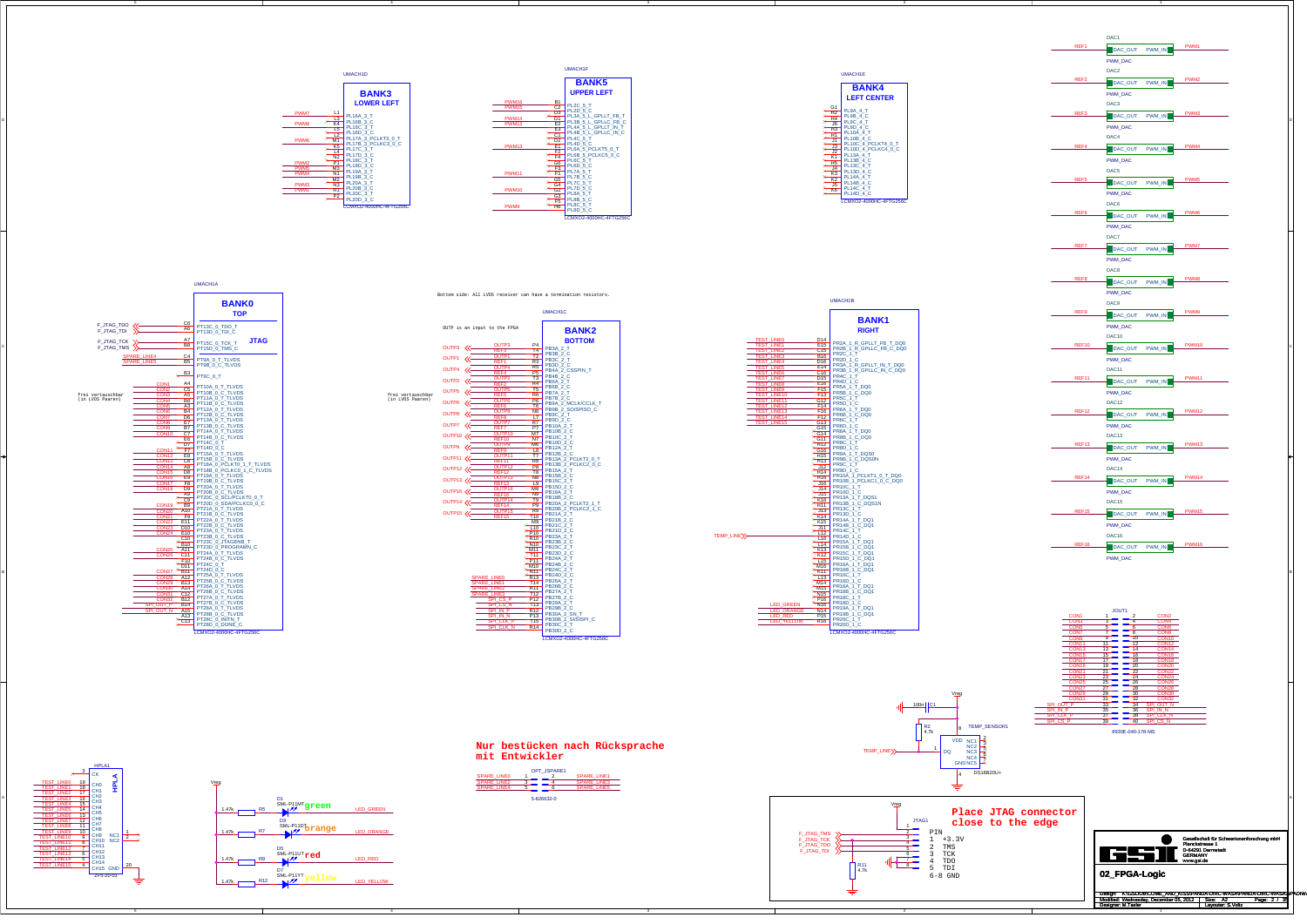3

C



**Nur bestücken nach Rücksprache mit Entwickler**

SPI\_OUT\_PSPI\_CLK\_PSPI\_CS\_P

SPI\_OUT\_NSPI\_CLK\_NSPI\_CS\_N

CON1

CON3CON5CON7CON9CON11CON13CON15CON17CON19CON21CON23CON25CON27CON29CON31

ن<br>الحککا

SPI\_IN\_P

PWM1

PWM2

PWM7 PWM8

PWM3 PWM4

PWM6

PWM5



Vreg

Gesellschaft für Schwerionenforschung mbH Planckstrasse 1 D-64291 Darmstadt GERMANY www.gsi.de

Design: Modified: Size: / Page: Designer: Layouter: A2 2 35 M.Taxler S.Voltz Wednesday, December 05, 2012 K:\GSIJOB\COME\_AND\_KISS\PANDA-DIRC-WASA\PANDA-DIRC-WASA2\PADIWA

**02\_FPGA-Logic**













|                                                                                                                                          |                                                                                                                                                                     |                   | DAC1                         |                              |
|------------------------------------------------------------------------------------------------------------------------------------------|---------------------------------------------------------------------------------------------------------------------------------------------------------------------|-------------------|------------------------------|------------------------------|
|                                                                                                                                          |                                                                                                                                                                     | REF1              | DAC_OUT<br>PWM_IN            | PWM1                         |
|                                                                                                                                          |                                                                                                                                                                     |                   | <b>PWM_DAC</b>               |                              |
|                                                                                                                                          |                                                                                                                                                                     |                   | DAC <sub>2</sub>             |                              |
|                                                                                                                                          | UMACH1E                                                                                                                                                             | REF <sub>2</sub>  | DAC OUT<br>PWM IN            | PWM <sub>2</sub>             |
| ŦΤ                                                                                                                                       | <b>BANK4</b>                                                                                                                                                        |                   | PWM_DAC                      |                              |
|                                                                                                                                          | <b>LEFT CENTER</b>                                                                                                                                                  |                   | DAC <sub>3</sub>             |                              |
| LT_FB_T                                                                                                                                  | G1<br>⊁<br>PL9A_4_T                                                                                                                                                 | REF3              | DAC_OUT<br>PWM_IN            | PWM3                         |
| $LC_FB_C$<br>LT_IN_T                                                                                                                     |                                                                                                                                                                     |                   | PWM_DAC                      |                              |
| LC_IN_C                                                                                                                                  |                                                                                                                                                                     |                   | DAC4                         |                              |
| $T5_0$                                                                                                                                   | $\times$<br>PL10C_4_PCLKT4_0_T<br>$\times$                                                                                                                          | REF4              | DAC_OUT<br>PWM_IN            | PWM4                         |
| $C5_0$ <sub>C</sub>                                                                                                                      | $\frac{13}{12}$ PL10C_4_PCLKT4_0_T<br>DL10D_4_PCLKC4_0_C<br>K1<br>H5<br>PL13B_4_C<br>H5<br>PL13B_4_C<br>$\times$<br>$\times$                                        |                   | <b>PWM_DAC</b>               |                              |
|                                                                                                                                          | $\times$<br>⊁                                                                                                                                                       |                   | DAC <sub>5</sub>             |                              |
|                                                                                                                                          | H5<br>14<br>PL130_4_C<br>R3<br>PL140_4_C<br>DE140_4_T<br>R6<br>PL140_4_T<br>PL140_4_C<br>PL140_4_C<br>$\times$<br>$\times$                                          | REF <sub>5</sub>  | DAC OUT<br>PWM IN            | PWM <sub>5</sub>             |
|                                                                                                                                          | $\times$<br>⊁                                                                                                                                                       |                   | PWM_DAC                      |                              |
|                                                                                                                                          | LCMXO2-4000HC-4FTG256C                                                                                                                                              |                   | DAC6                         |                              |
|                                                                                                                                          |                                                                                                                                                                     | REF <sub>6</sub>  | DAC_OUT<br>PWM_IN            | PWM <sub>6</sub>             |
| 2-4FTG256C                                                                                                                               |                                                                                                                                                                     |                   | PWM_DAC                      |                              |
|                                                                                                                                          |                                                                                                                                                                     |                   | DAC7                         |                              |
|                                                                                                                                          |                                                                                                                                                                     | REF7              | DAC_OUT<br>PWM_IN            | PWM7                         |
|                                                                                                                                          |                                                                                                                                                                     |                   | PWM_DAC                      |                              |
|                                                                                                                                          |                                                                                                                                                                     |                   | DAC8                         |                              |
|                                                                                                                                          |                                                                                                                                                                     | REF8              | DAC OUT<br>PWM IN            | PWM8                         |
|                                                                                                                                          |                                                                                                                                                                     |                   |                              |                              |
|                                                                                                                                          | UMACH1B                                                                                                                                                             |                   | PWM_DAC<br>DAC9              |                              |
|                                                                                                                                          |                                                                                                                                                                     | REF9              |                              | PWM9                         |
|                                                                                                                                          | <b>BANK1</b>                                                                                                                                                        |                   | DAC_OUT<br>PWM_IN<br>PWM_DAC |                              |
|                                                                                                                                          | <b>RIGHT</b>                                                                                                                                                        |                   | DAC10                        |                              |
| <b>TEST_LINE0</b><br><b>TEST LINE1</b>                                                                                                   | D14<br>PR2A_1_R_GPLLT_FB_T_DQ0<br>PR2B_1_R_GPLLC_FB_C_DQ0<br>E15                                                                                                    | REF10             |                              | <b>PWM10</b>                 |
| TEST_LINE                                                                                                                                | C15<br>B <sub>16</sub><br><u>B<sub>16</sub></u><br>PR2D_1_C<br>D <sub>16</sub><br>PR2D_1_C                                                                          |                   | DAC_OUT<br>PWM_IN            |                              |
|                                                                                                                                          | PR3A_1_R_GPLLT_IN_T_DQ0<br>PR3B_1_R_GPLLC_IN_C_DQ0<br>F14                                                                                                           |                   | PWM_DAC                      |                              |
|                                                                                                                                          |                                                                                                                                                                     |                   |                              |                              |
|                                                                                                                                          | C16                                                                                                                                                                 | REF11             | DAC11                        | <b>PWM11</b>                 |
|                                                                                                                                          | D <sub>15</sub> PR4C_1_T<br><u>PR4D_1_C</u>                                                                                                                         |                   | DAC_OUT<br>PWM IN            |                              |
| TEST_LINE3<br>TEST_LINE4<br>TEST_LINE6<br>TEST_LINE6<br>TEST_LINE6<br>TEST_LINE9<br>TEST_LINE9<br>TEST_LINE9<br>TEST_LINE9<br>TEST_LINE9 | PR5A_1_T_DQ0<br>PR5B_1_C_DQ0<br>PR5C_1_T<br>F15<br>F13                                                                                                              |                   | PWM_DAC                      |                              |
| TEST_LINE11<br>TEST_LINE12                                                                                                               | G12 PR5D_1_C<br>PR6A_1_T_DQ0                                                                                                                                        |                   | DAC12                        | <b>PWM12</b>                 |
| <b>TEST LINE13</b><br>TEST_LINE14<br><b>TEST_LINE15</b>                                                                                  | F16<br>PR6B_1_C_DQ0<br>F12<br>PR6C_1_T                                                                                                                              | REF12             | DAC_OUT<br>PWM_IN            |                              |
|                                                                                                                                          | G13<br>PR6D_1_C                                                                                                                                                     |                   | PWM_DAC                      |                              |
|                                                                                                                                          | <del>915</del><br><del>92014</del><br><del>92014</del><br>92011 PR8B 1 C_DQ0<br>92011 PR8B 1 C_DQ0                                                                  |                   | DAC13                        |                              |
|                                                                                                                                          |                                                                                                                                                                     | REF13             | DAC_OUT<br>PWM_IN            | PWM13                        |
|                                                                                                                                          | PR9B_1_C_DQS0N<br>PR9C_1_T<br>J12                                                                                                                                   |                   | PWM_DAC                      |                              |
|                                                                                                                                          |                                                                                                                                                                     |                   | DAC14                        |                              |
|                                                                                                                                          | X J14<br>X H14<br>X H16<br>X H16<br>PR10B_1_PCLKC1_0_C_DQ0<br>X J16<br>PR10B_1_PCLKC1_0_C_DQ0                                                                       | REF14             | DAC OUT<br>PWM IN            |                              |
|                                                                                                                                          |                                                                                                                                                                     |                   | <b>PWM_DAC</b>               |                              |
|                                                                                                                                          | X 116<br>X 116<br>X 114<br>X 114<br>PR13A_1 T_DQS1<br>X 1746<br>PR13A_1 T_DQS1<br>PR13A_1 T_DQS1                                                                    |                   | DAC15                        |                              |
|                                                                                                                                          | X K16 PR13A_1_1_5 S.<br>X H11 PR13B_1_C_DQS1N<br>X H13 PR13C_1_T                                                                                                    | REF <sub>15</sub> | DAC_OUT<br>PWM_IN            | <b>PWM15</b>                 |
|                                                                                                                                          | X 113<br>X 113<br>RR13D_1_C<br>X K14<br>RR14A_1_T_DQ1<br>X 114<br>PR14P 1<br>PR14B_1_C_DQ1                                                                          |                   | PWM_DAC                      |                              |
| TEMP_LINE>>                                                                                                                              | $X$ $\frac{111}{112}$<br>PR14C_1_T<br>PR14D_1_C                                                                                                                     |                   | DAC16                        |                              |
|                                                                                                                                          | L16 PR14D_1_C<br>$\times$ L14 PR15A_1_T_DQ1<br>$\times$ K13 PR15B_1_C_DQ1<br>$\times$ K12 PR15C_1_T_DQ1<br>$\times$ L15 PR16A_1_T_DQ1<br>$\times$ L15 PR16A_1_T_DQ1 | REF16             | DAC_OUT<br>PWM_IN            | <b>PWM14</b><br><b>PWM16</b> |





JOUT1

8930E-040-178-MS

P  $35 \equiv 36$  SPINN

 $\begin{array}{c|c|c|c|c} 1 & 2 & 2 & 0002 \\ \hline 5 & 5 & - & 6 & 0008 \\ \hline 7 & 7 & - & 8 & 0008 \\ \hline 9 & 9 & - & 16 & 00010 \\ \hline 11 & 13 & - & 14 & 000112 \\ \hline 16 & 15 & - & 16 & 00018 \\ \hline 17 & 17 & - & 20 & 00022 \\ \hline 28 & 23 & - & 24 & 00028 \\ \hline 29 & 29 & - & 26 & 00028 \\ \hline 27 &$ 

 $\frac{2}{4}$  6<br>8<br>10

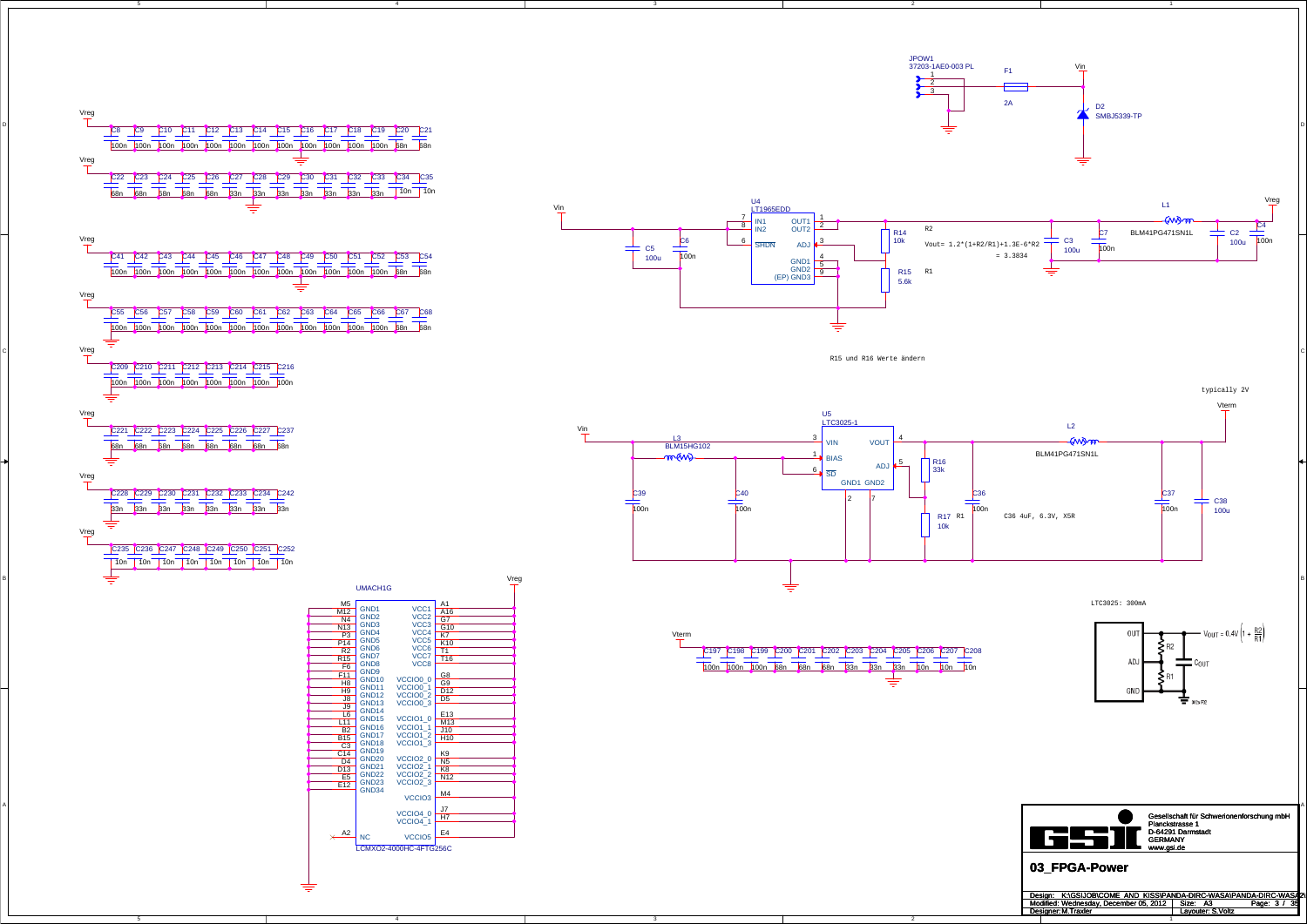



GND34

 $\times$   $A2$  NC

 $M4$ 

 $H7$ 

 $E4$ 

VCCIO<sub>3</sub> VCCIO4 0

VCCIO<sub>5</sub>

VCCIO4\_1

LCMXO2-4000HC-4FTG256C



R15 und R16 Werte ändern













Gesellschaft für Schwerionenforschung mbH Planckstrasse 1<br>Planckstrasse 1<br>D-64291 Darmstadt<br>GERMANY www.gsi.de

| Design: K:\GSIJOB\COME AND KISS\PANDA-DIRC-WASA\PANDA-DIRC-WASA |                   |                 |
|-----------------------------------------------------------------|-------------------|-----------------|
| Modified: Wednesday. December 05, 2012                          | Size: A3          | 35<br>Page: 3 / |
| Designer: M. Traxler                                            | Lavouter: S.Voltz |                 |
|                                                                 |                   |                 |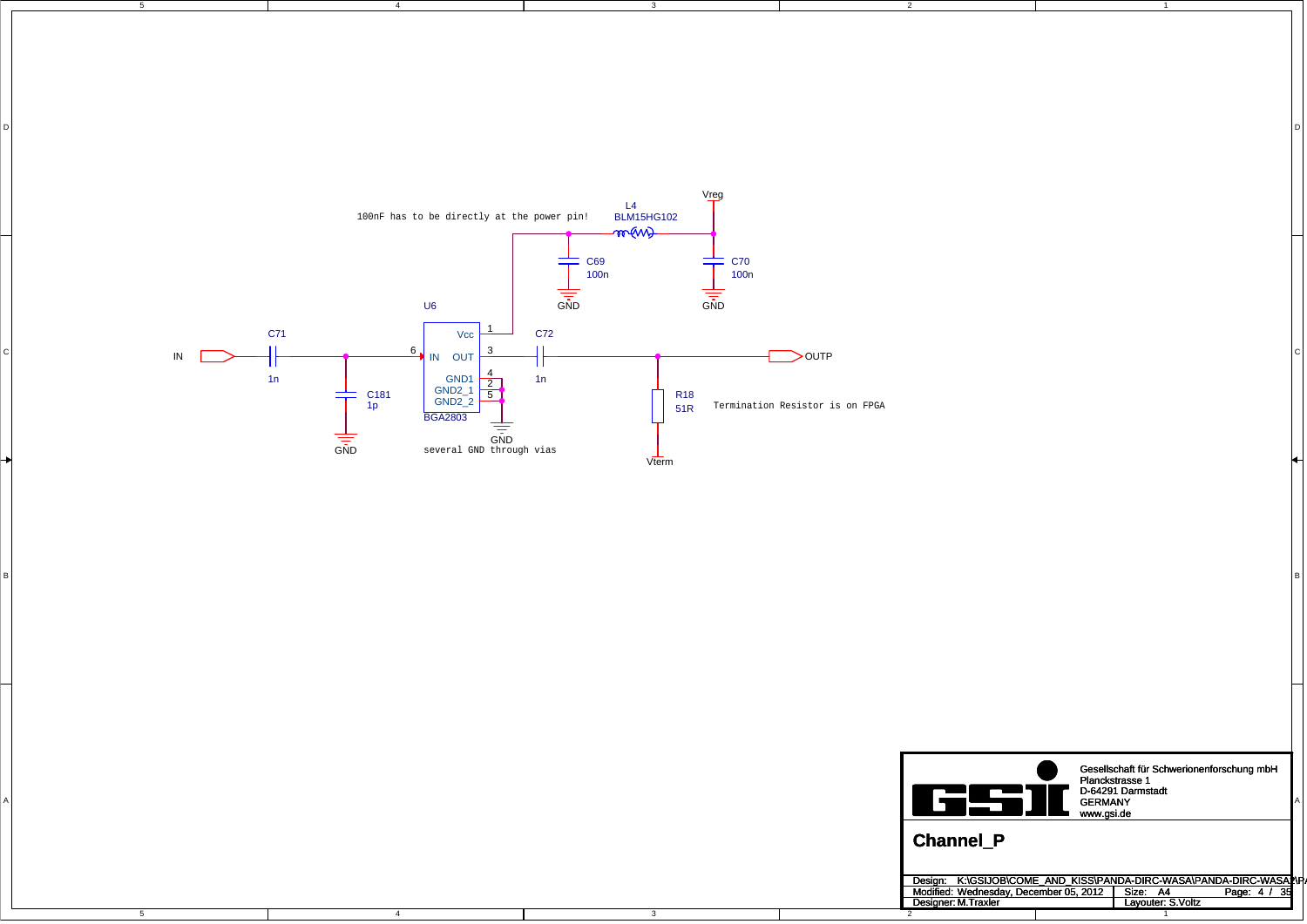5

4

4

3

DI<br>Di

3

2

1

D

C

B



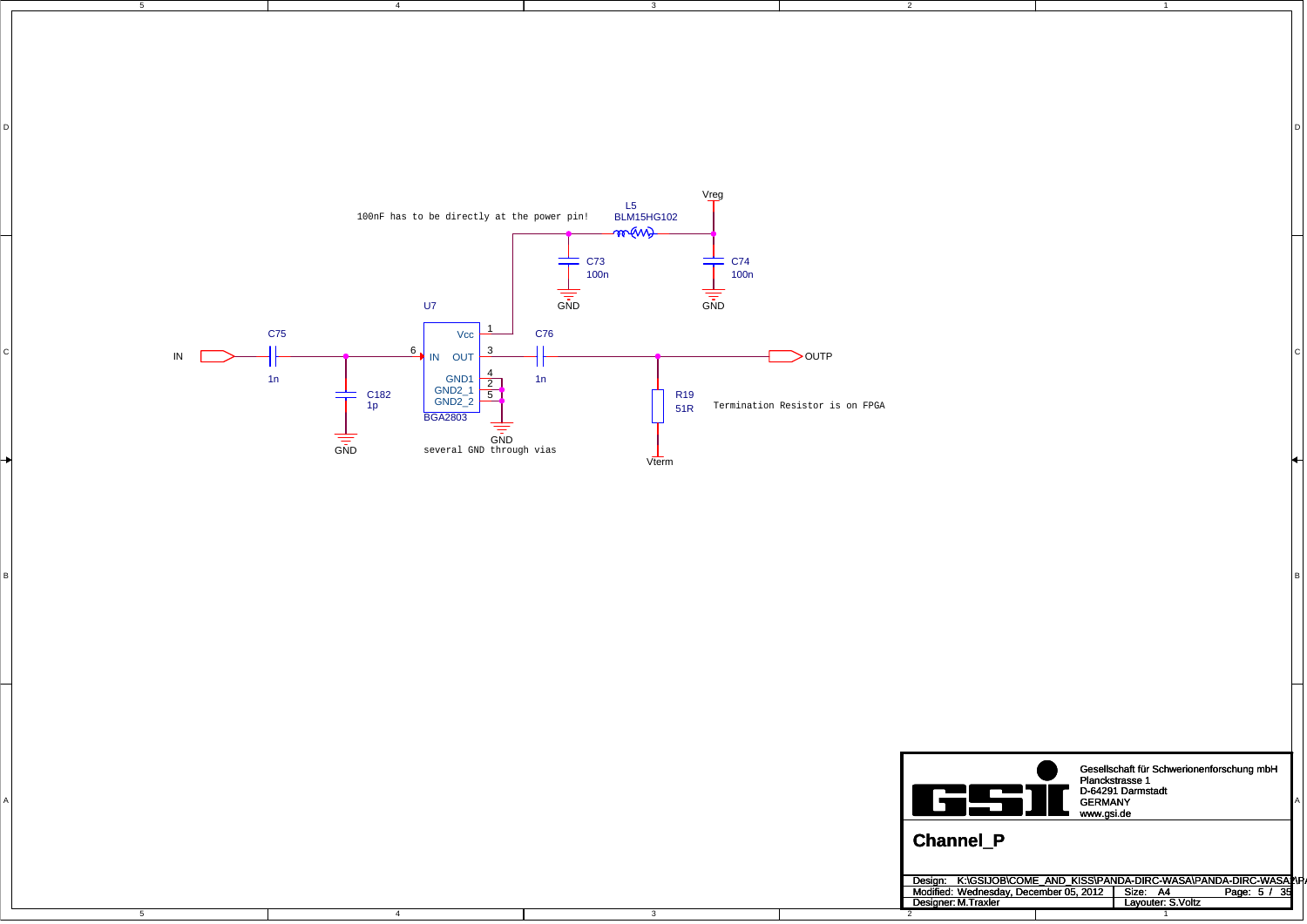5

4

4

3

DI<br>Di

3

2

1

D

C

B



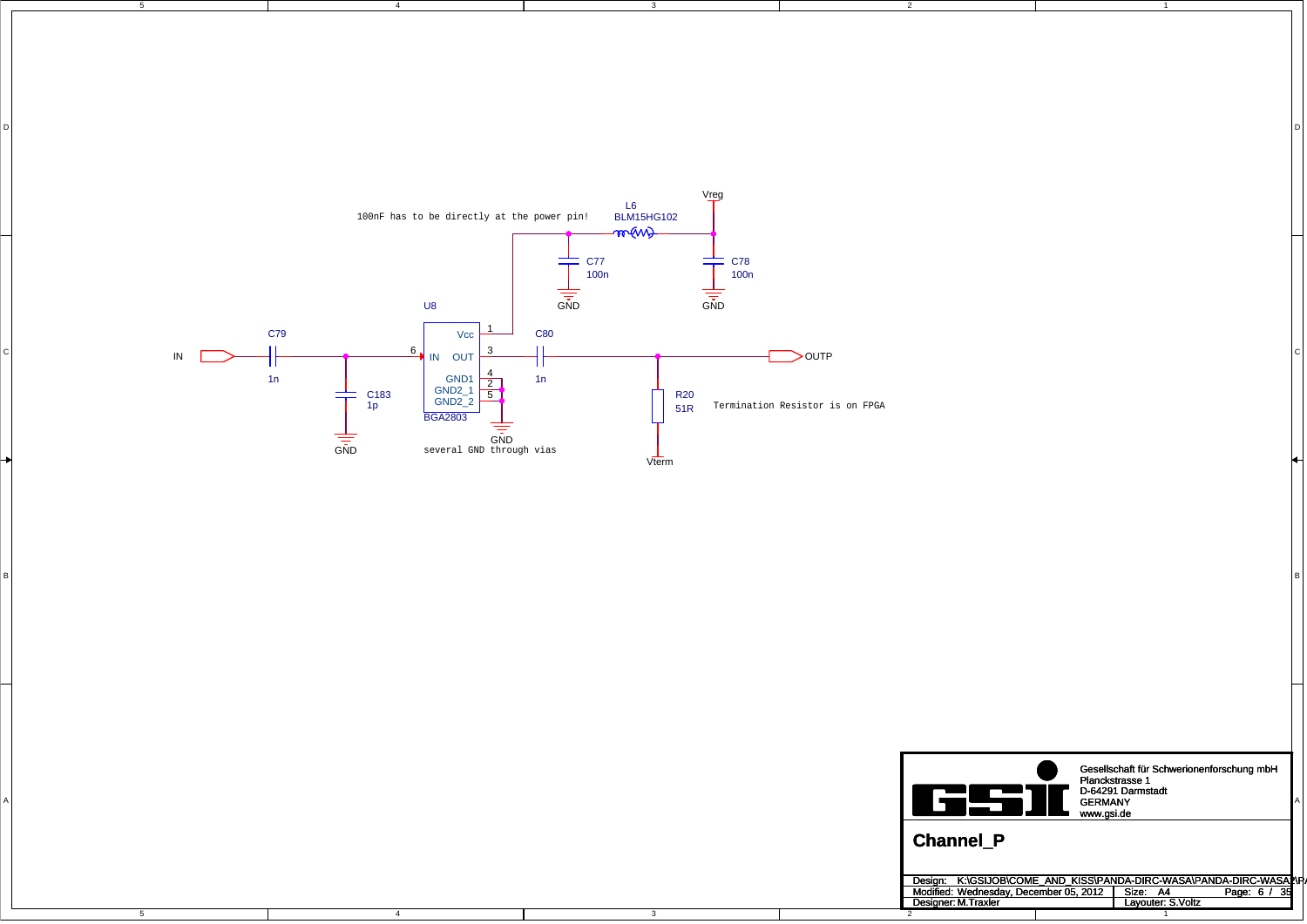5

4

4

3

DI<br>Di

3

2

1

D

C

B



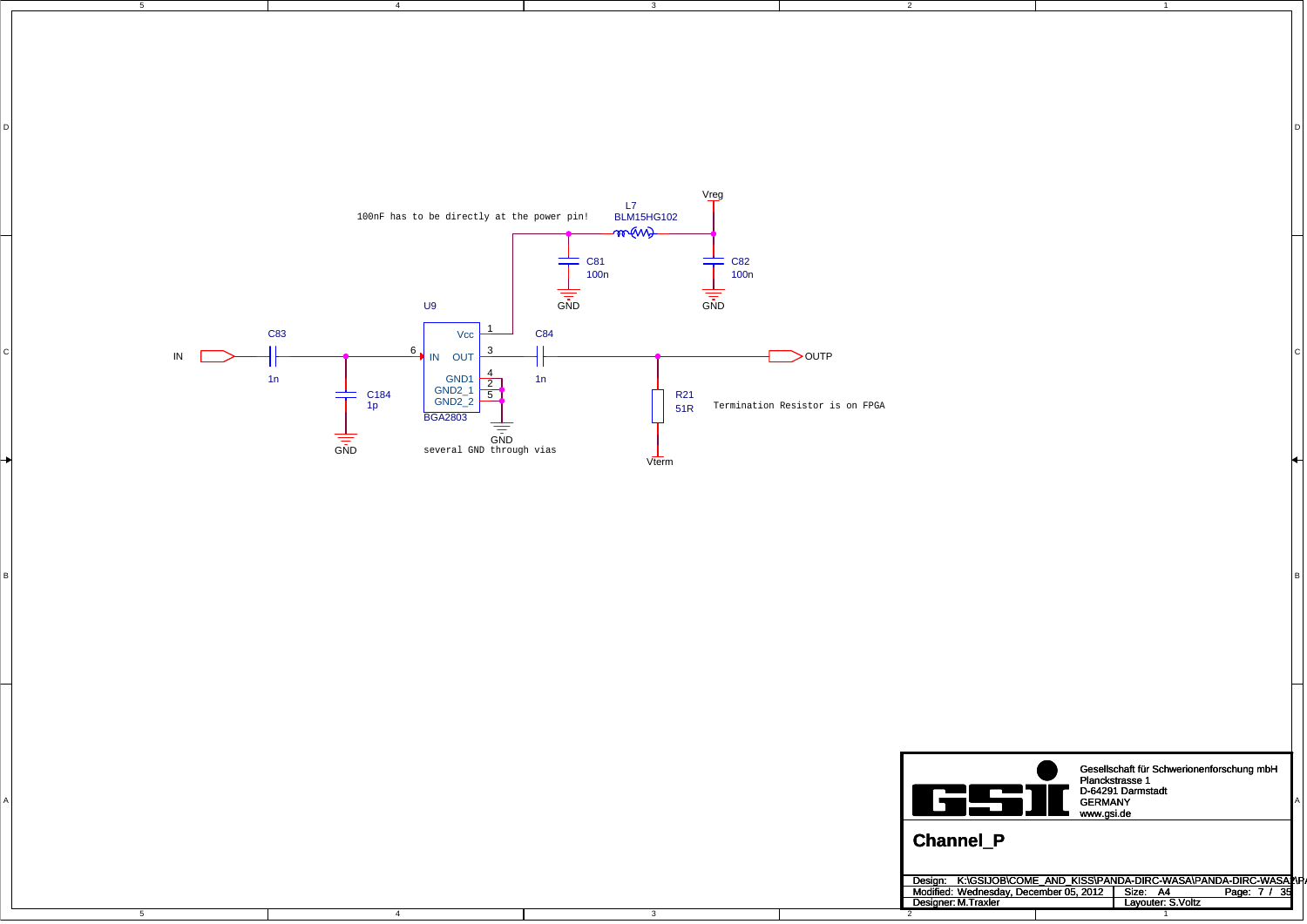5

4

4

3

DI<br>Di

3

2

1

D

C

B



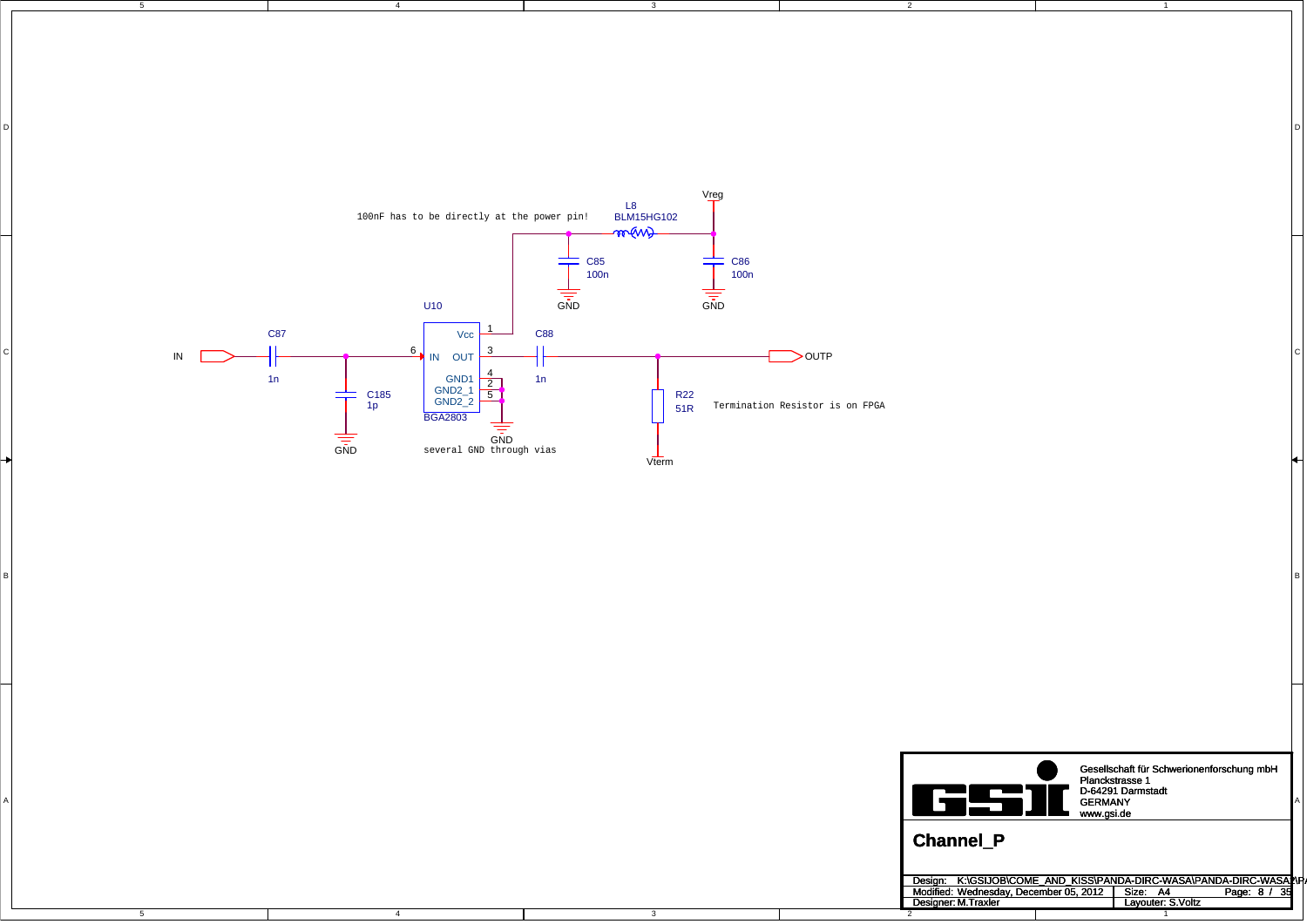5

4

4

3

DI<br>Di

3

2

1

D

C

B



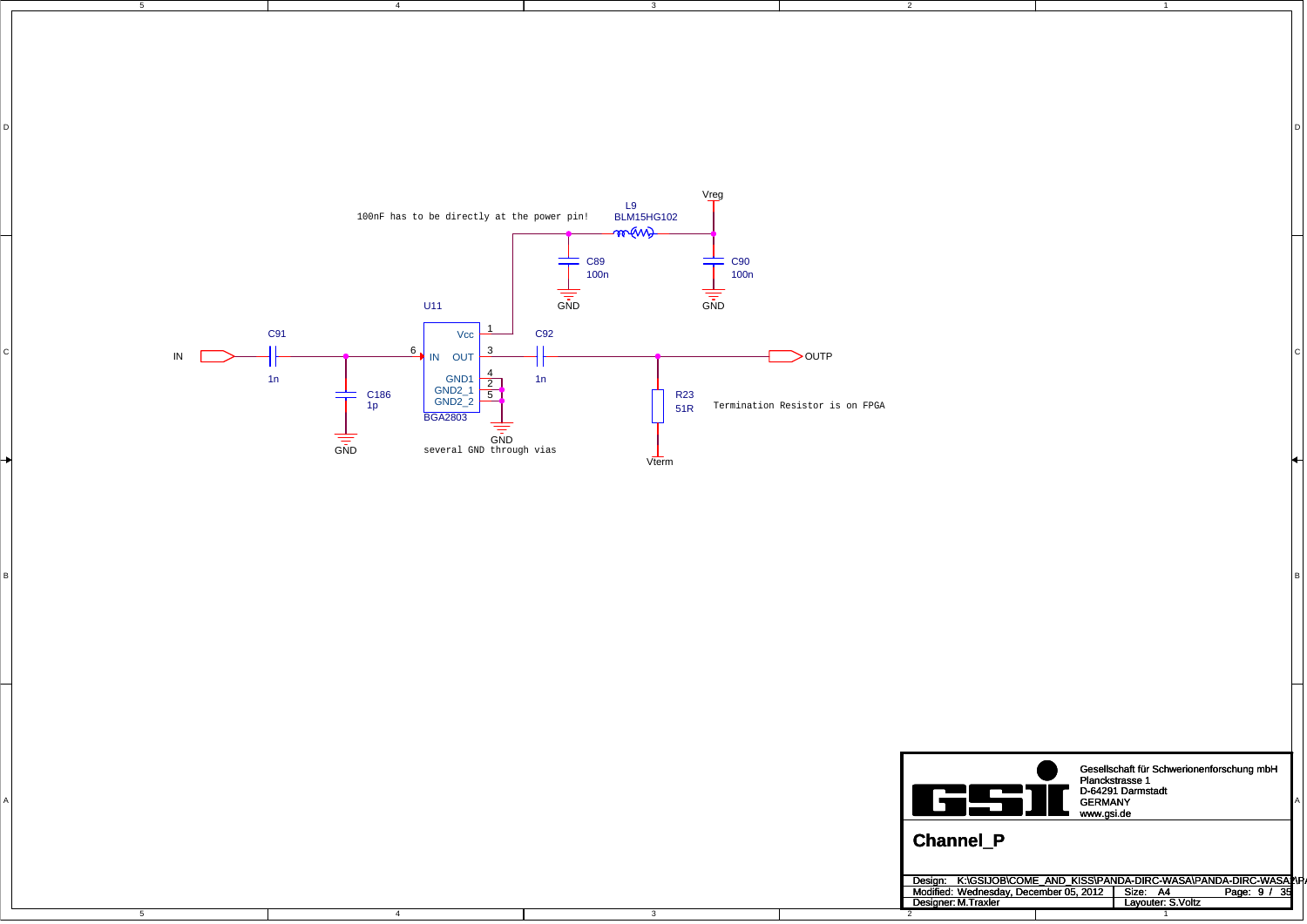5

4

4

3

DI<br>Di

3

2

1

D

C

B



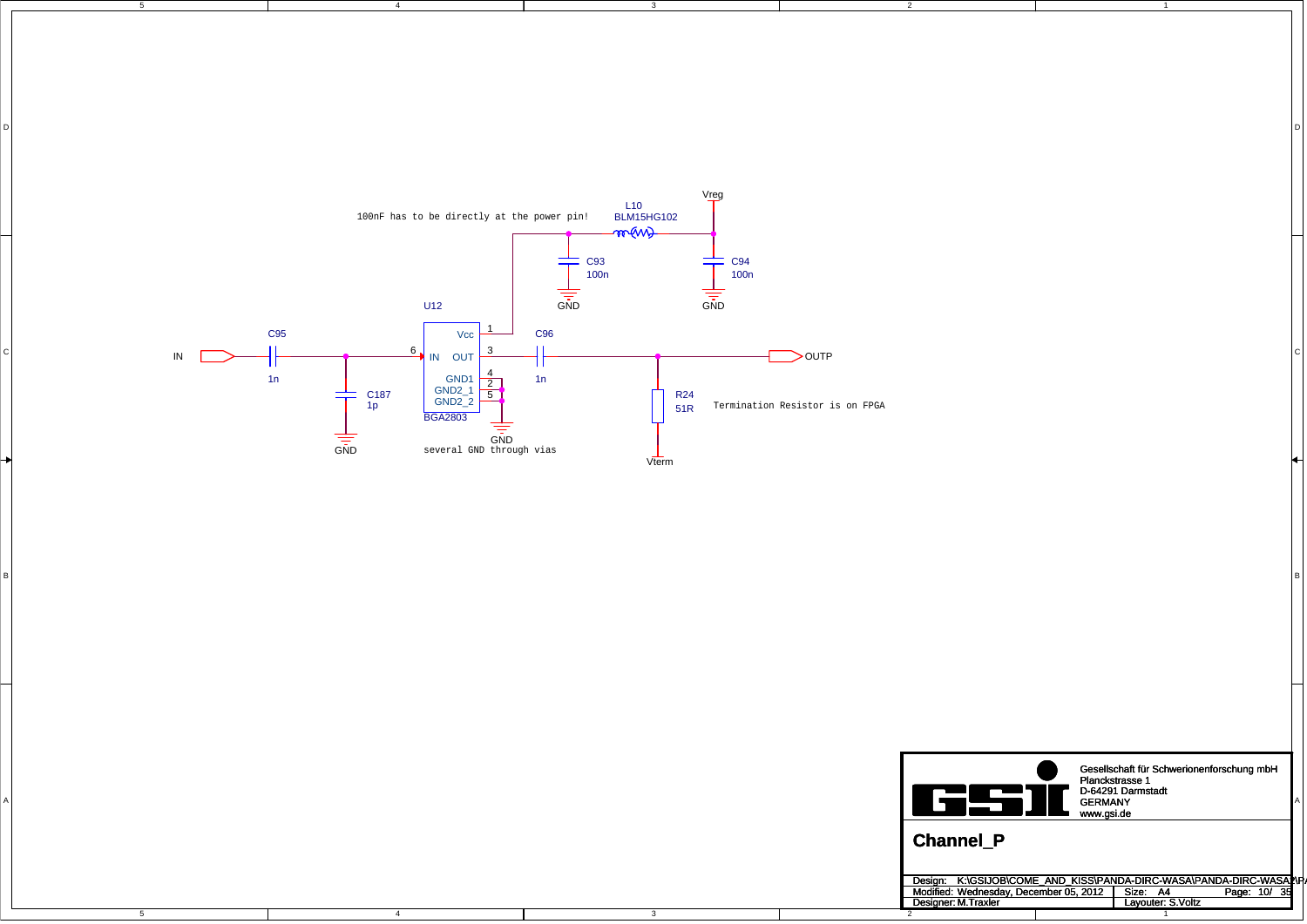5

4

4

3

DI<br>Di

3

2

1

D

C

B



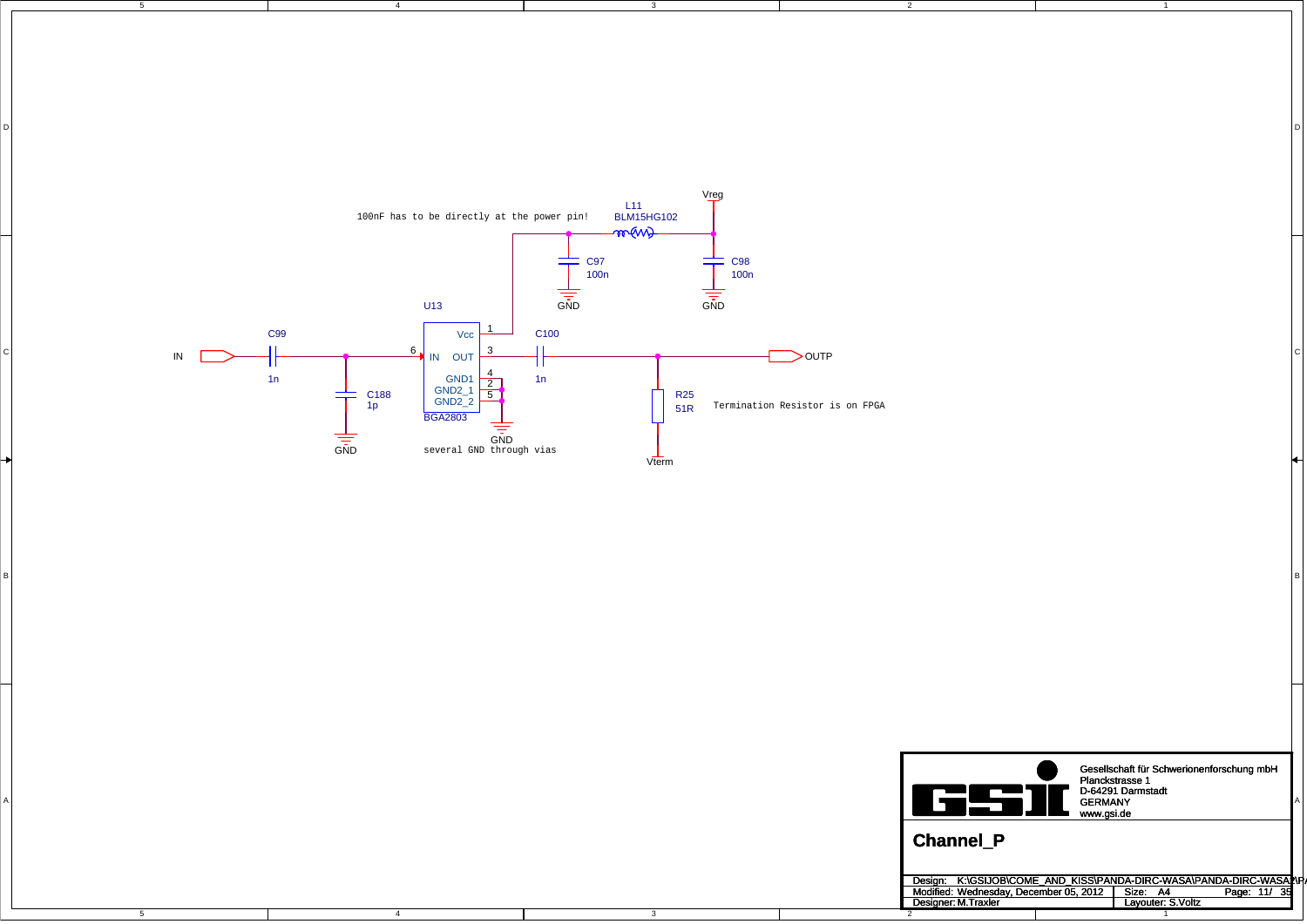5

4

4

3

DI<br>Di

3

2

1

D

C

B



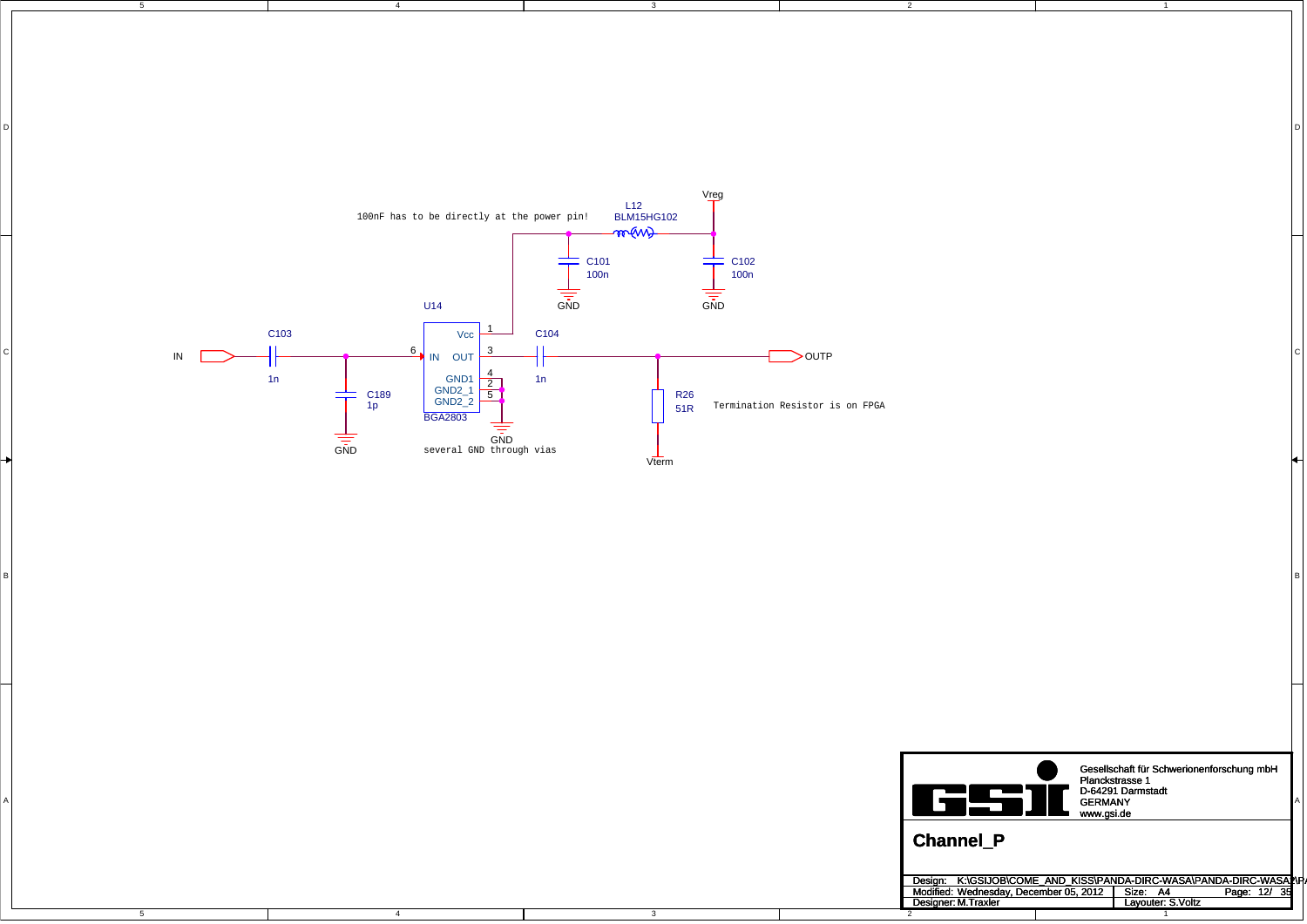5

4

4

3

DI<br>Di

3

2

1

D

C

B



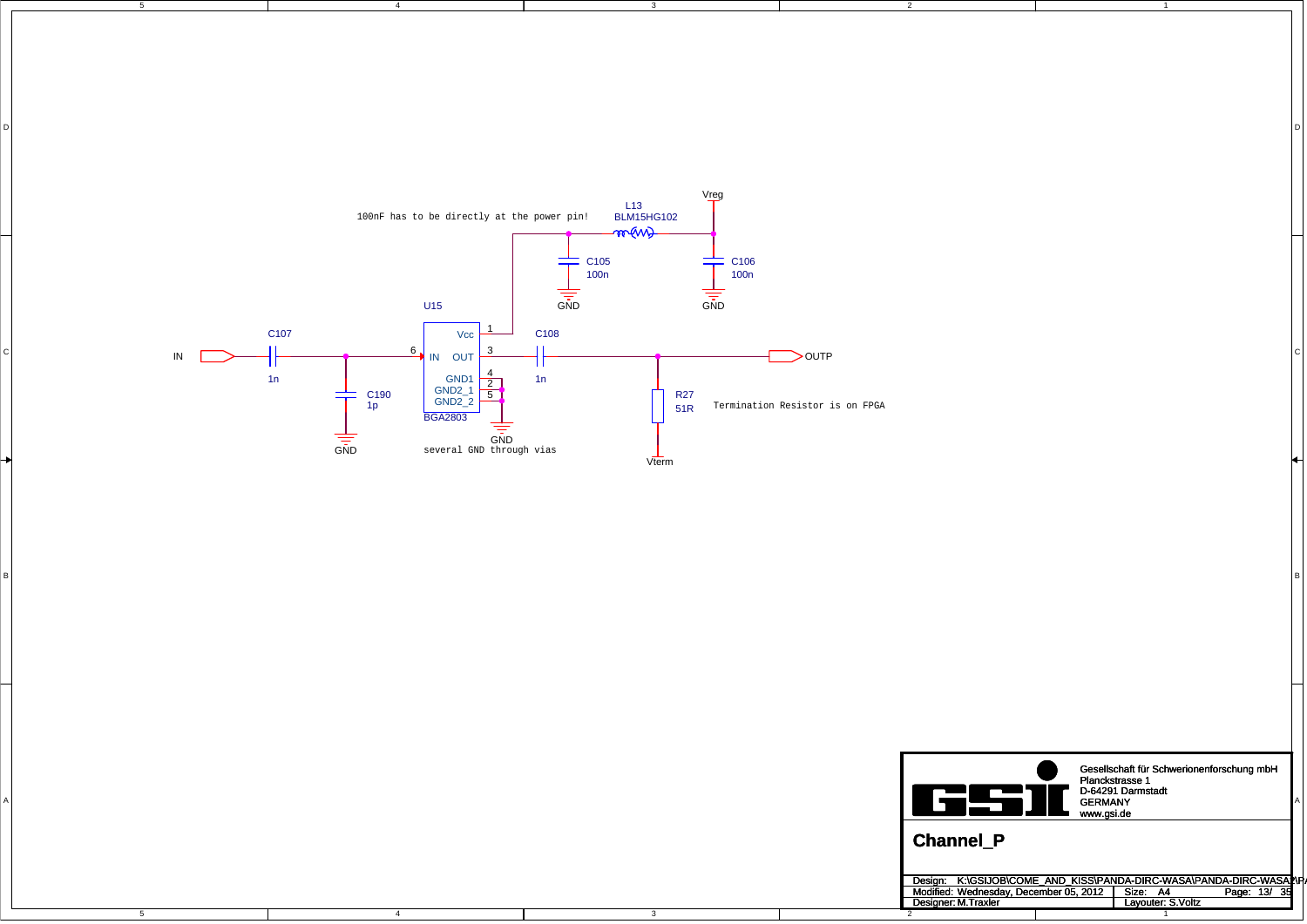5

4

4

3

DI<br>Di

3

2

1

D

C

B



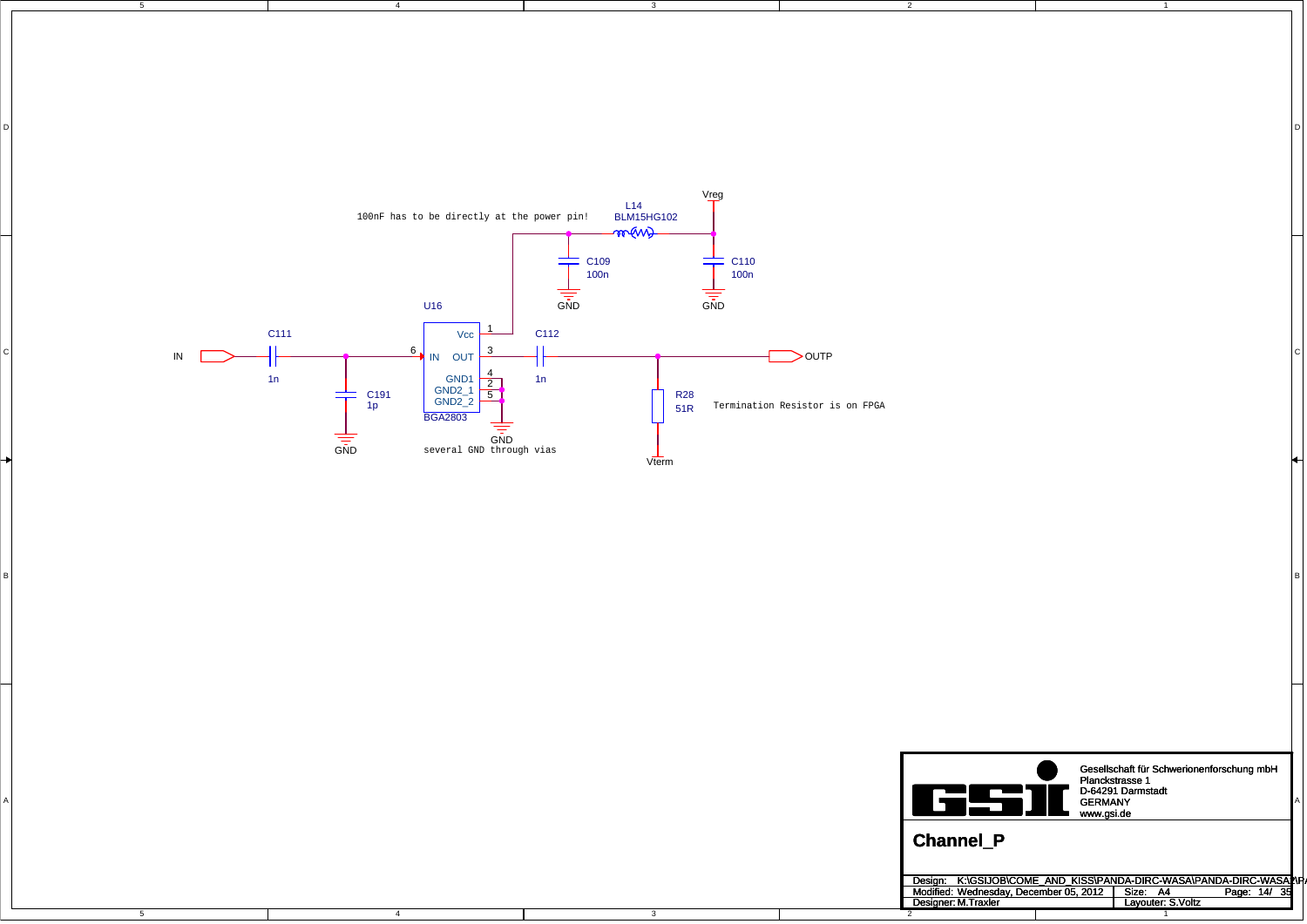5

4

4

3

DI<br>Di

3

2

1

D

C

B



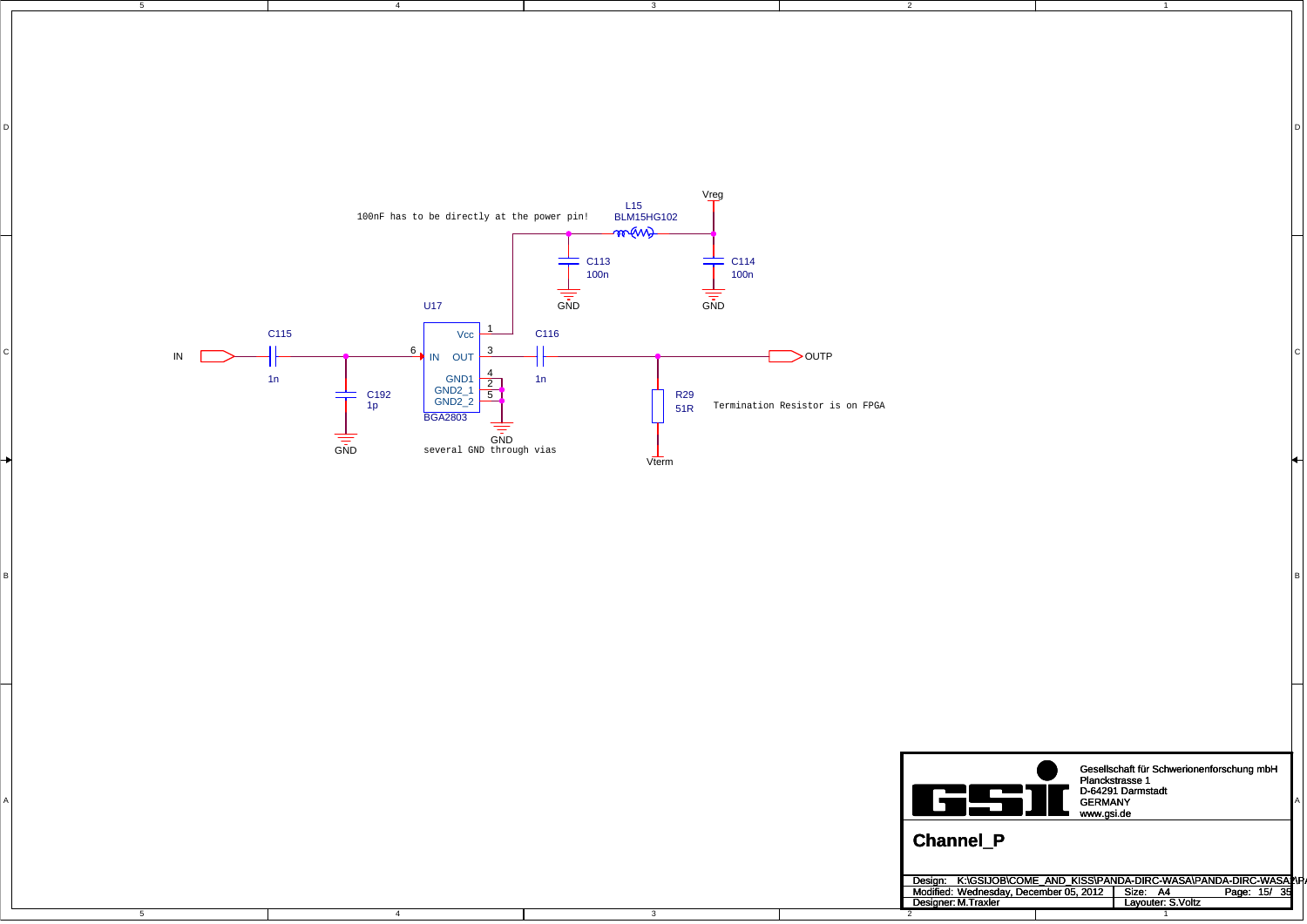5

4

4

3

DI<br>Di

3

2

1

D

C

B



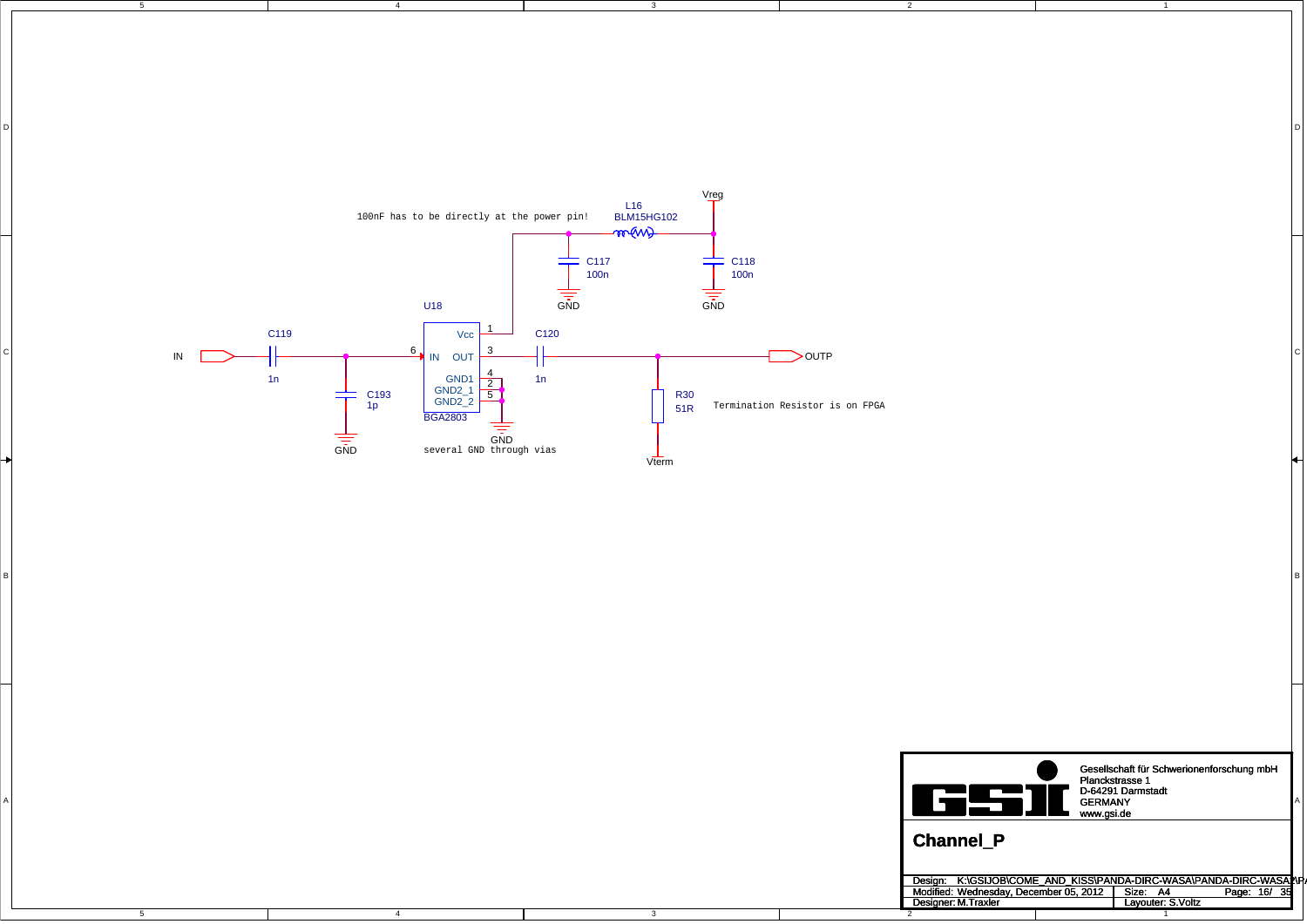5

4

4

3

DI<br>Di

3

2

1

D

C

B



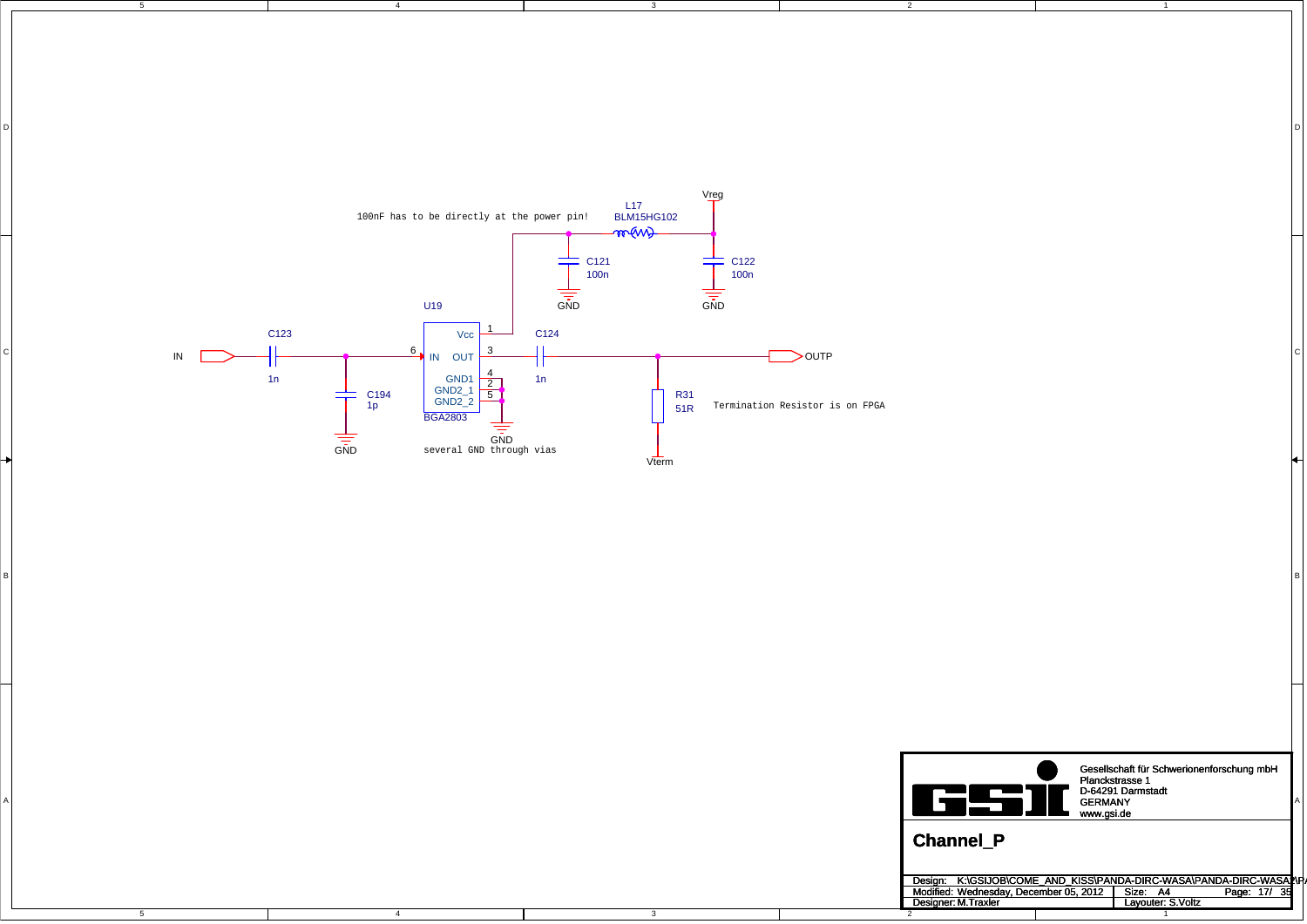5

4

4

3

DI<br>Di

3

2

1

D

C

B



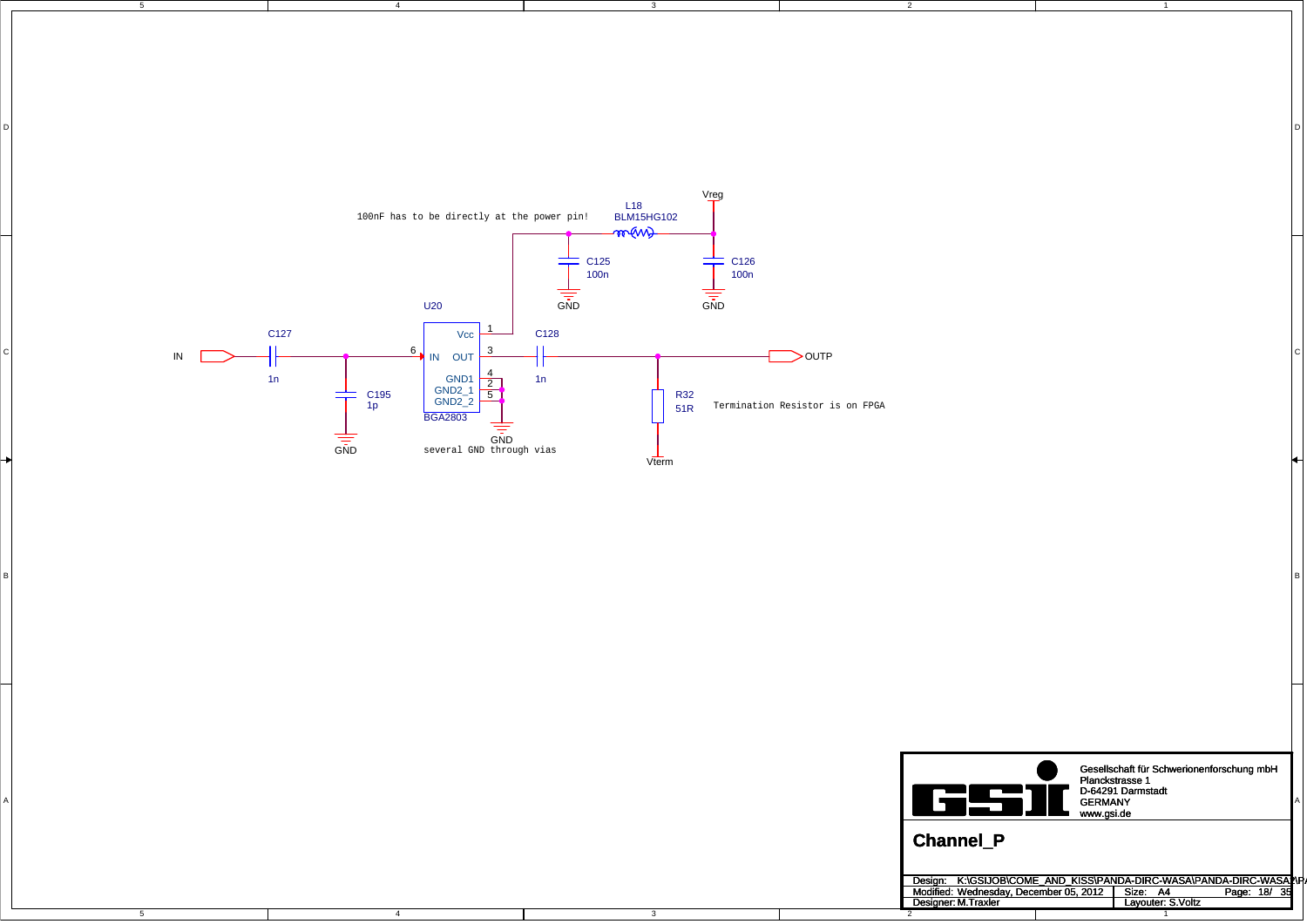5

4

4

3

DI<br>Di

3

2

1

D

C

B



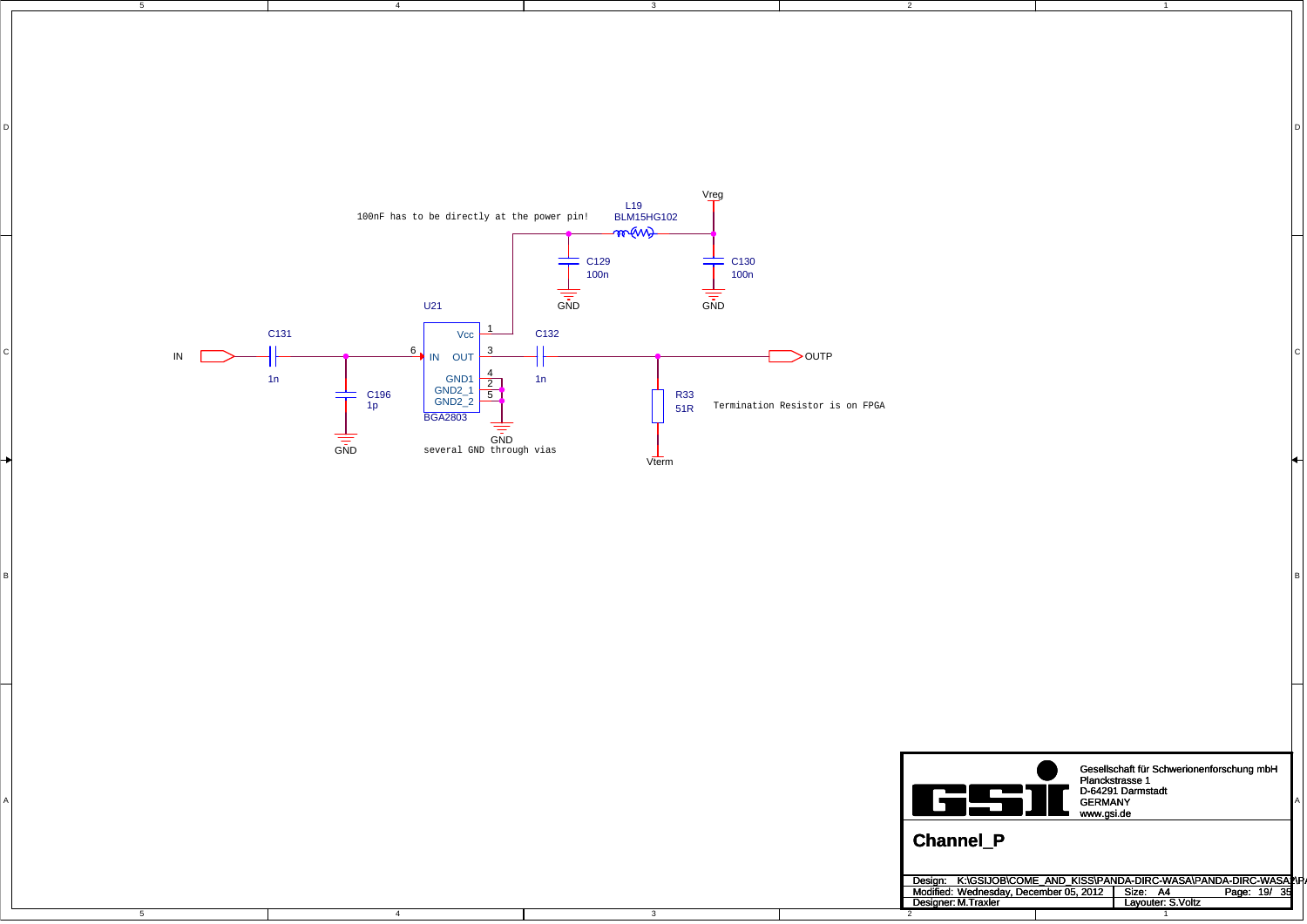5

4

4

3

DI<br>Di

3

2

1

D

C

B



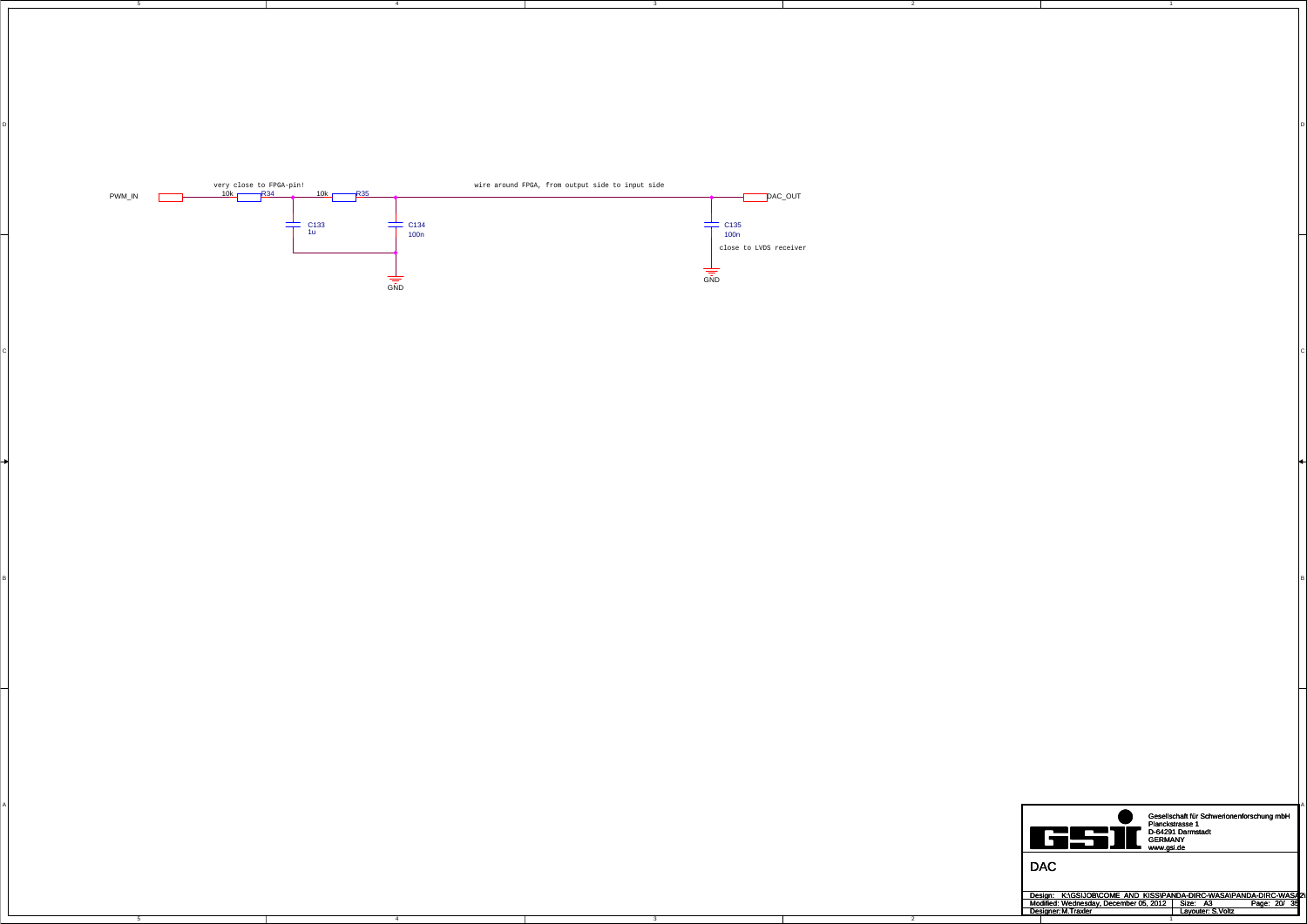4

4

5

3

D<br>D

 $\mathsf{C}$ 

B<br>B

3

2

2

C

A

A



Design: Modified: Size: / Page: Designer: Layouter: A3 20 35 M.Traxler S.Voltz Wednesday, December 05, 2012 K:\GSIJOB\COME\_AND\_KISS\PANDA-DIRC-WASA\PANDA-DIRC-WASA2\P

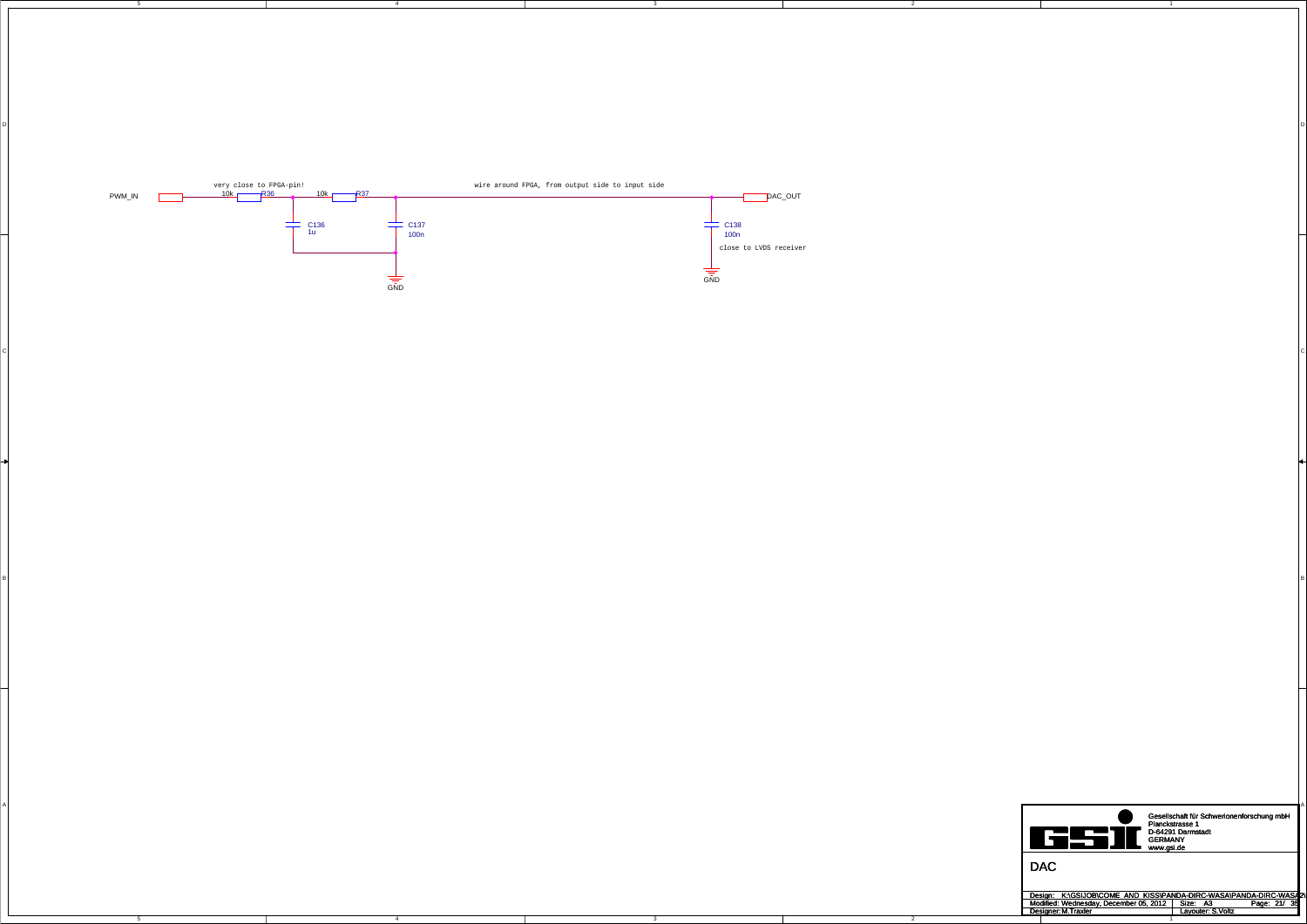4

4

5

3

D<br>D

 $\mathsf{C}$ 

B<br>B

3

2

2

C

A



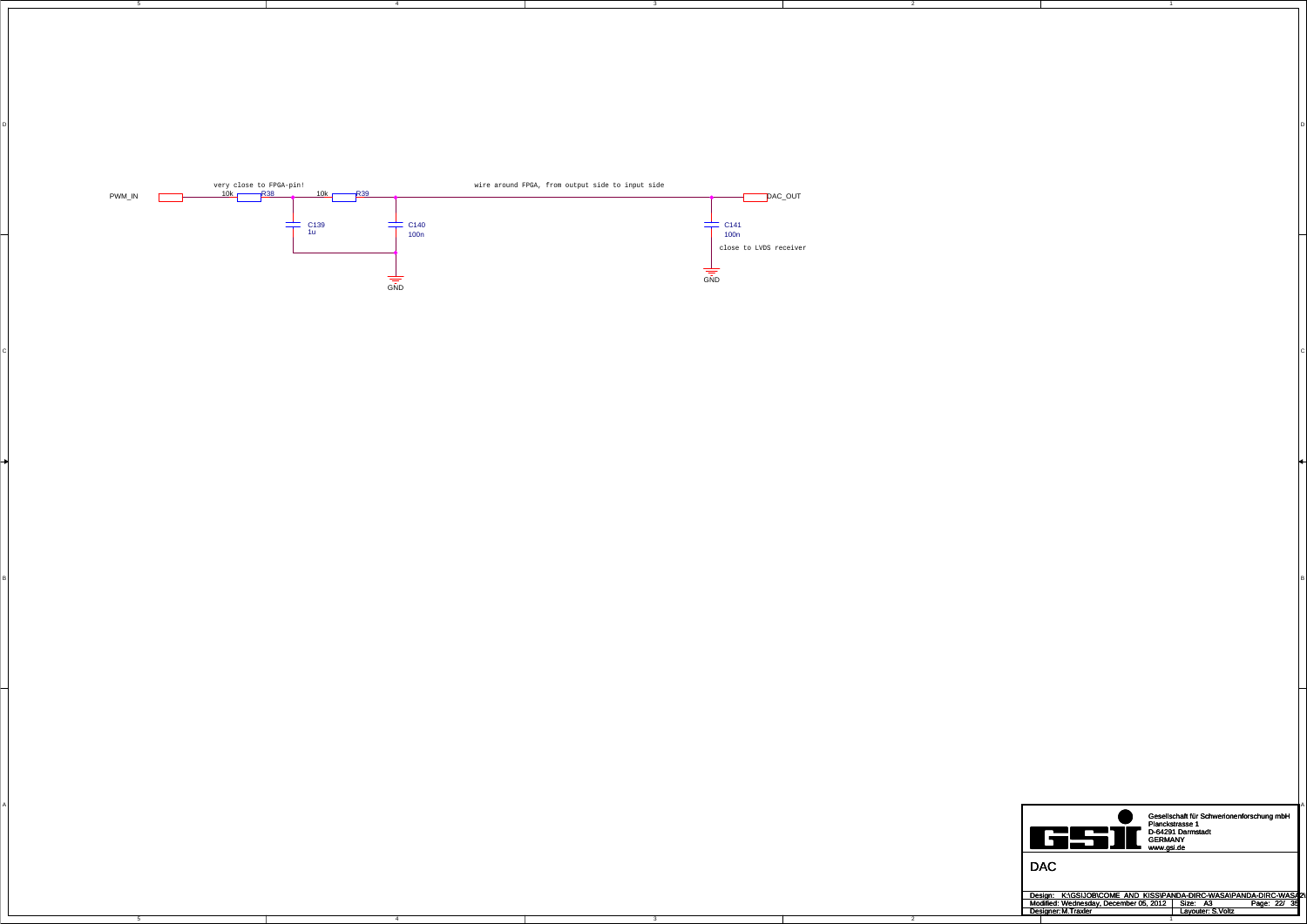4

4

5

3

D<br>D

 $\mathsf{C}$ 

B<br>B

3

2

2

C

A



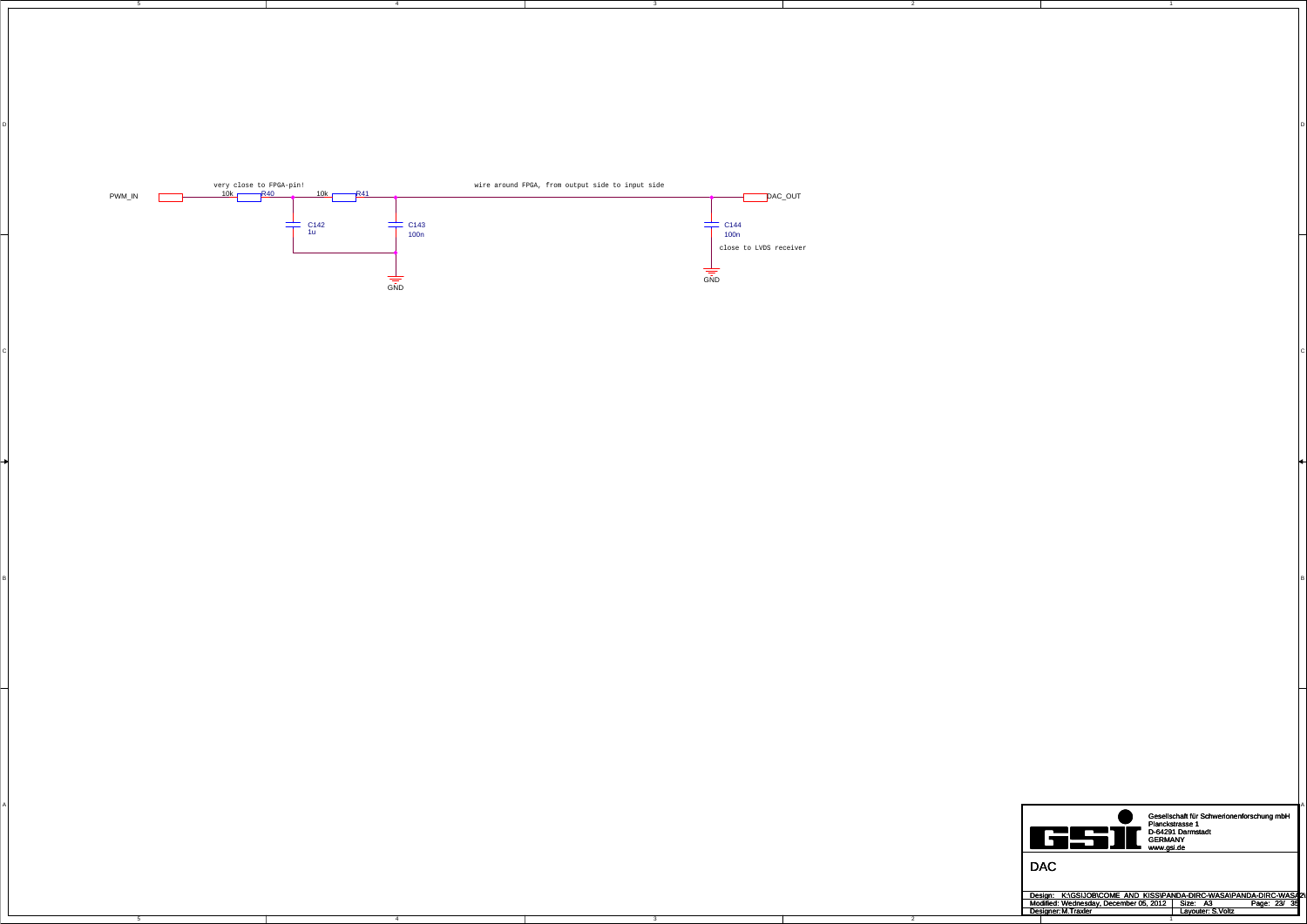4

4

5

3

D<br>D

 $\mathsf{C}$ 

B<br>B

3

2

2

C

A



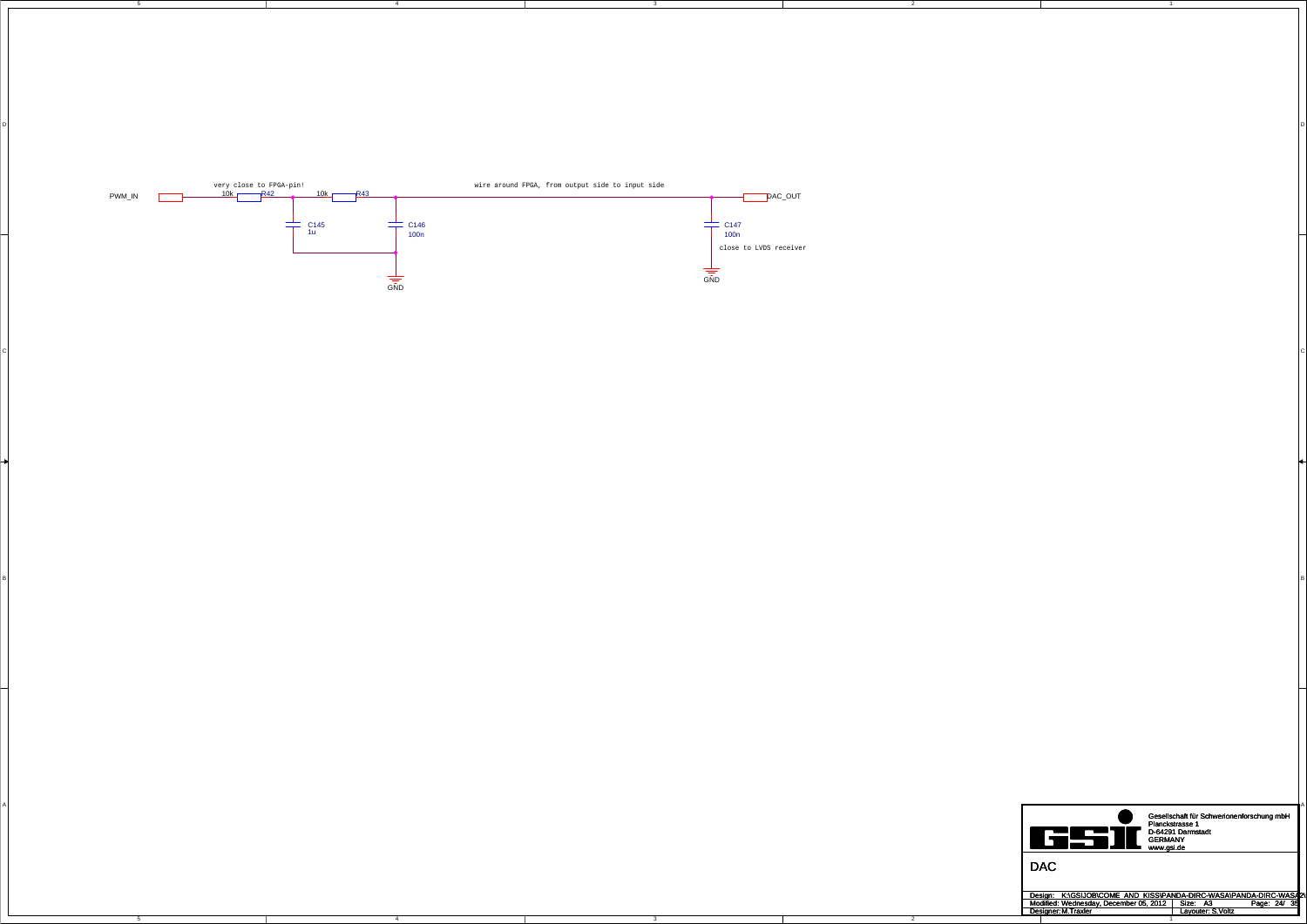4

4

5

3

D<br>D

 $\mathsf{C}$ 

B<br>B

3

2

2

C

A



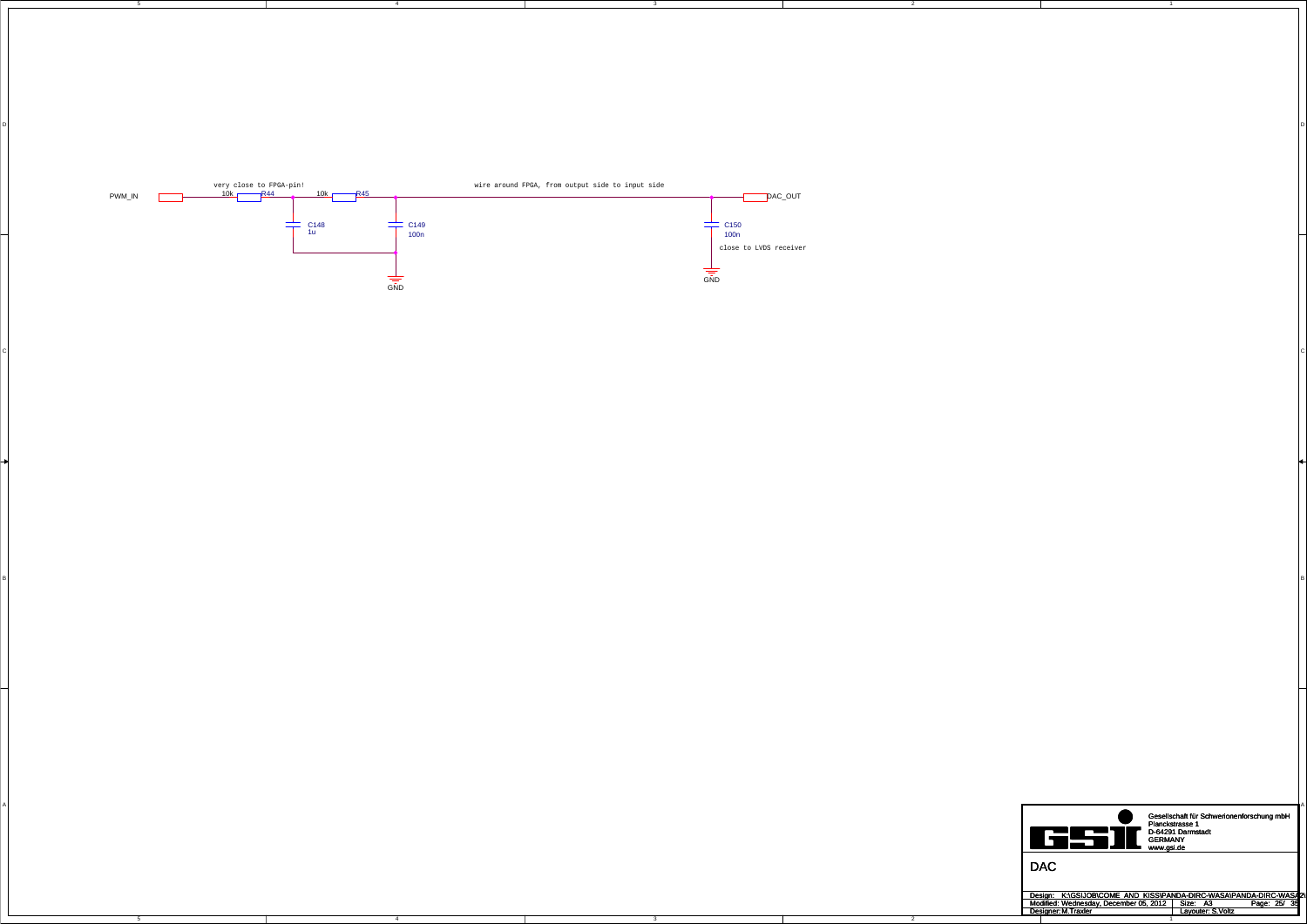4

4

5

3

D<br>D

 $\mathsf{C}$ 

B<br>B

3

2

2

C

A



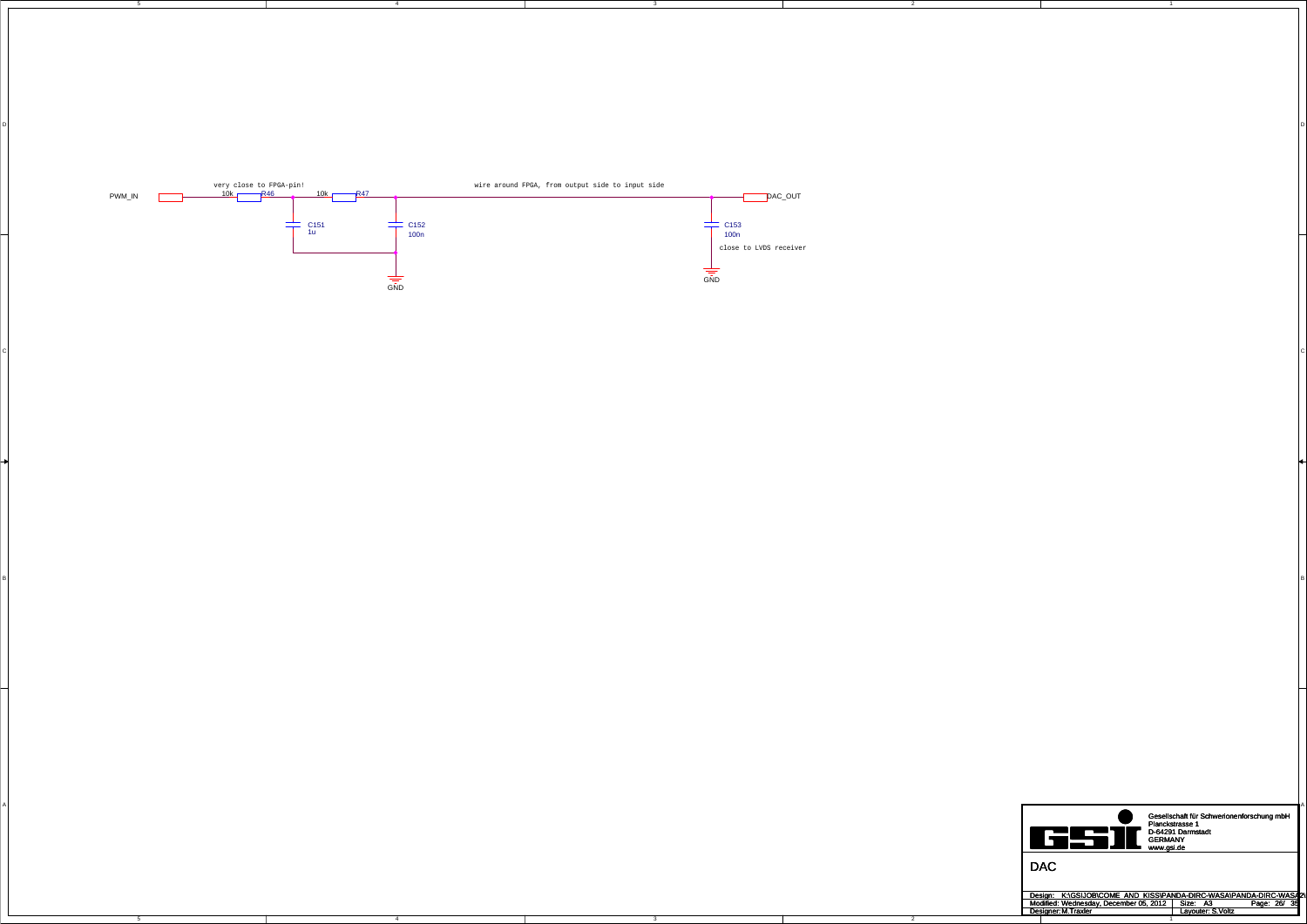4

4

5

3

D<br>D

 $\mathsf{C}$ 

B<br>B

3

2

2

C

A



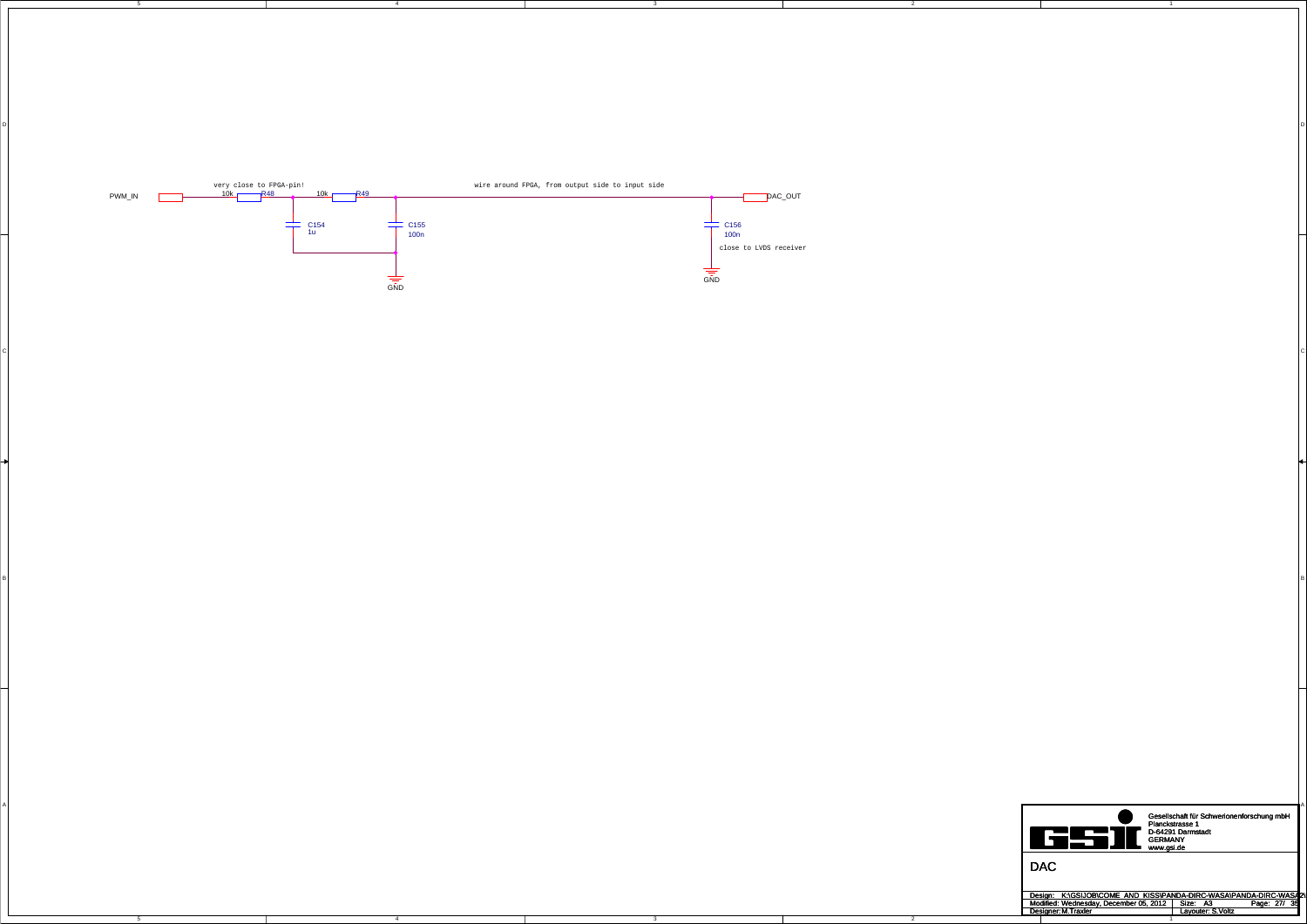4

4

5

3

D<br>D

 $\mathsf{C}$ 

B<br>B

3

2

2

C

A

A





Design: Modified: Size: / Page: Designer: Layouter: A3 27 35 M.Traxler S.Voltz Wednesday, December 05, 2012 K:\GSIJOB\COME\_AND\_KISS\PANDA-DIRC-WASA\PANDA-DIRC-WASA2\P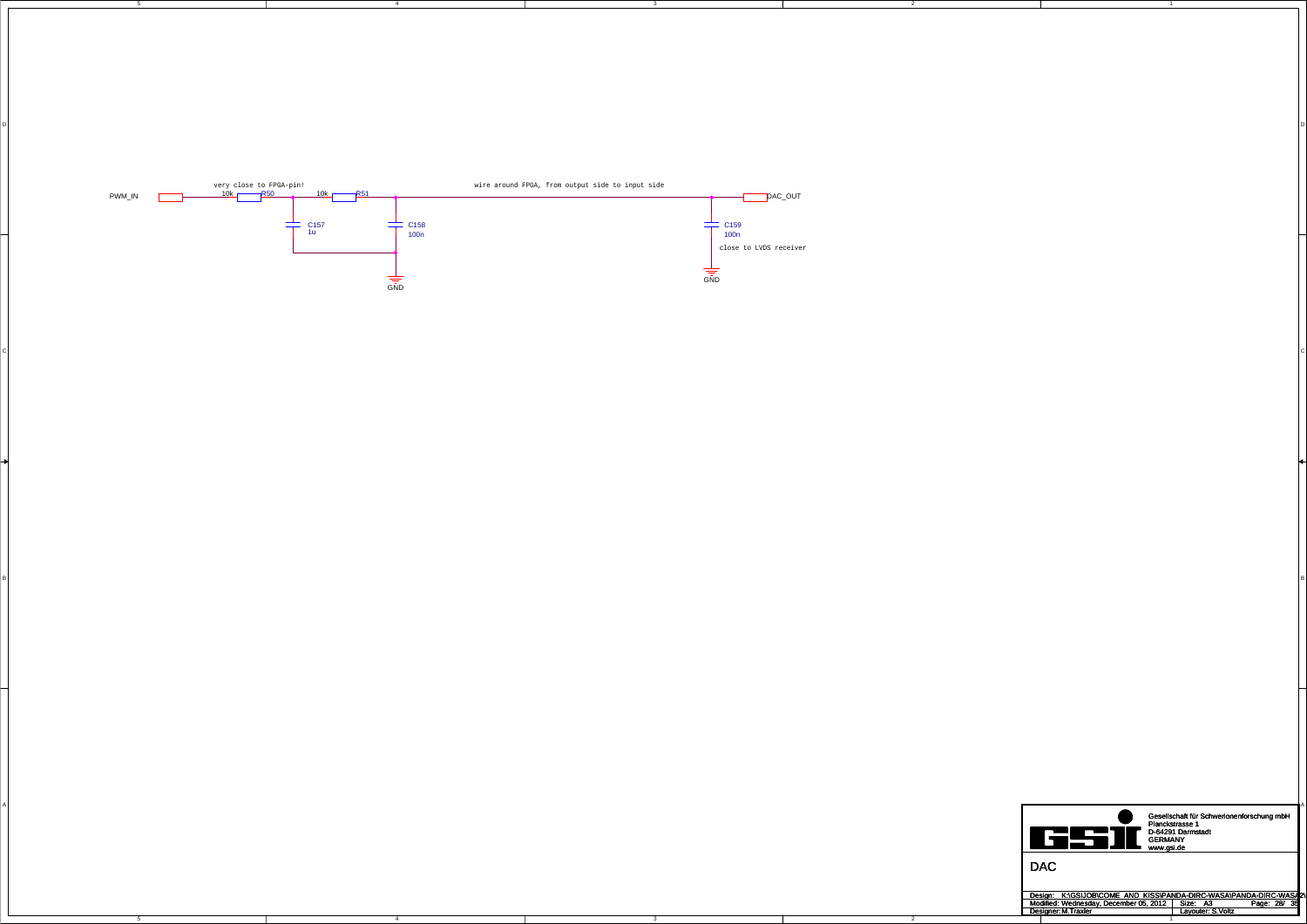4

4

5

3

D<br>D

 $\mathsf{C}$ 

B<br>B

3

2

2

C

A



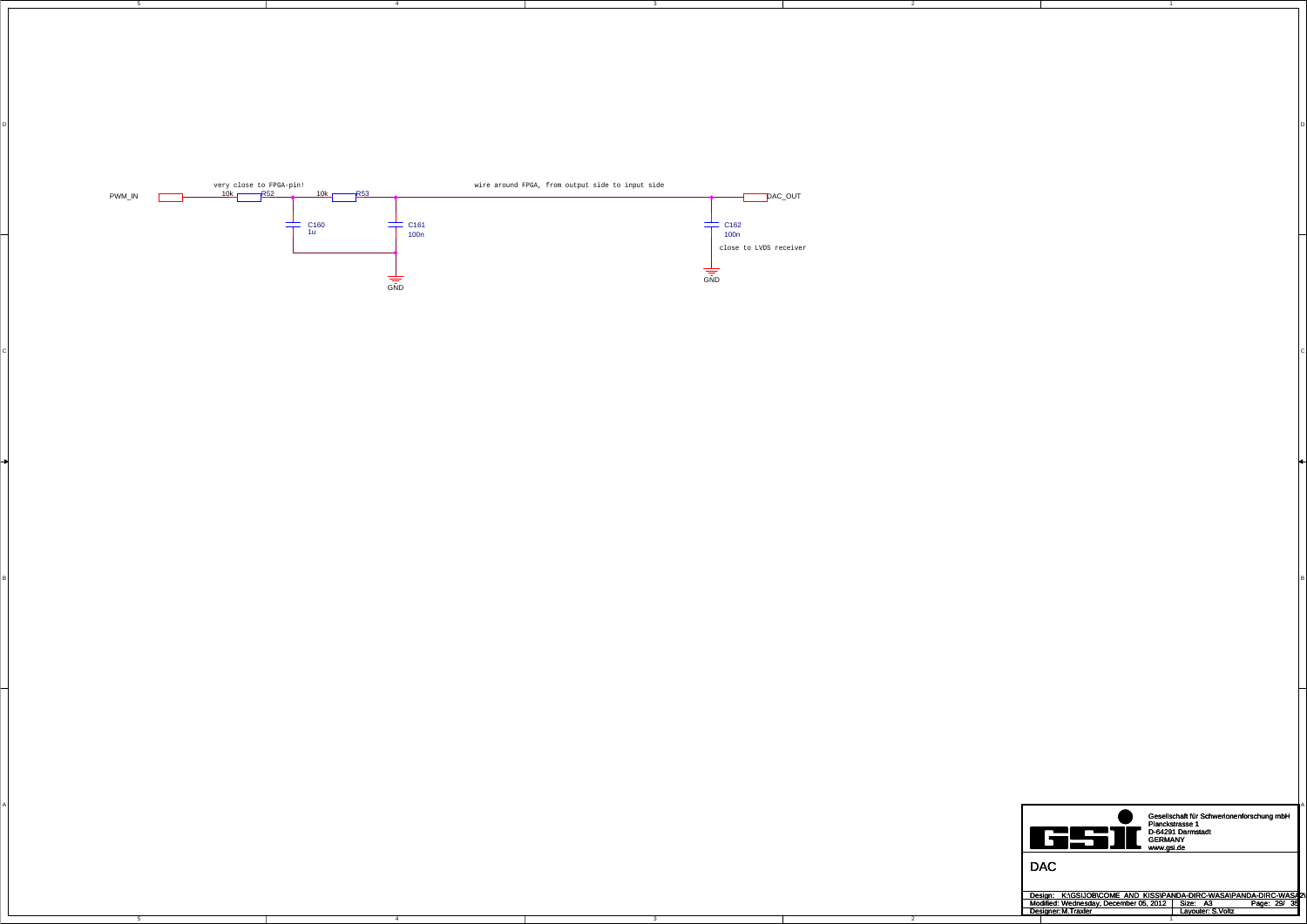4

4

5

3

D<br>D

 $\mathsf{C}$ 

B<br>B

3

2

2

C

A



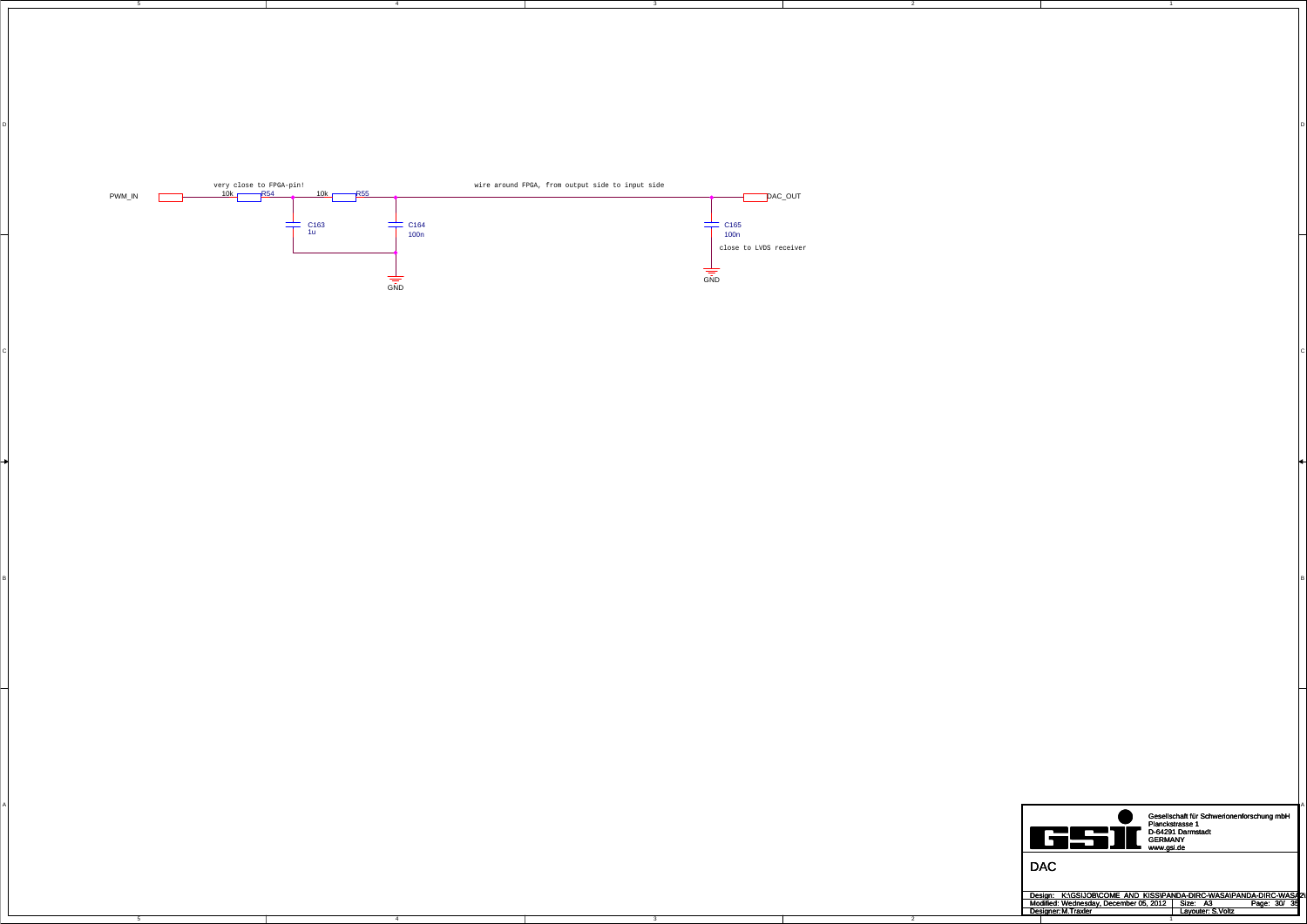4

4

5

3

D<br>D

 $\mathsf{C}$ 

B<br>B

3

2

2

C

A



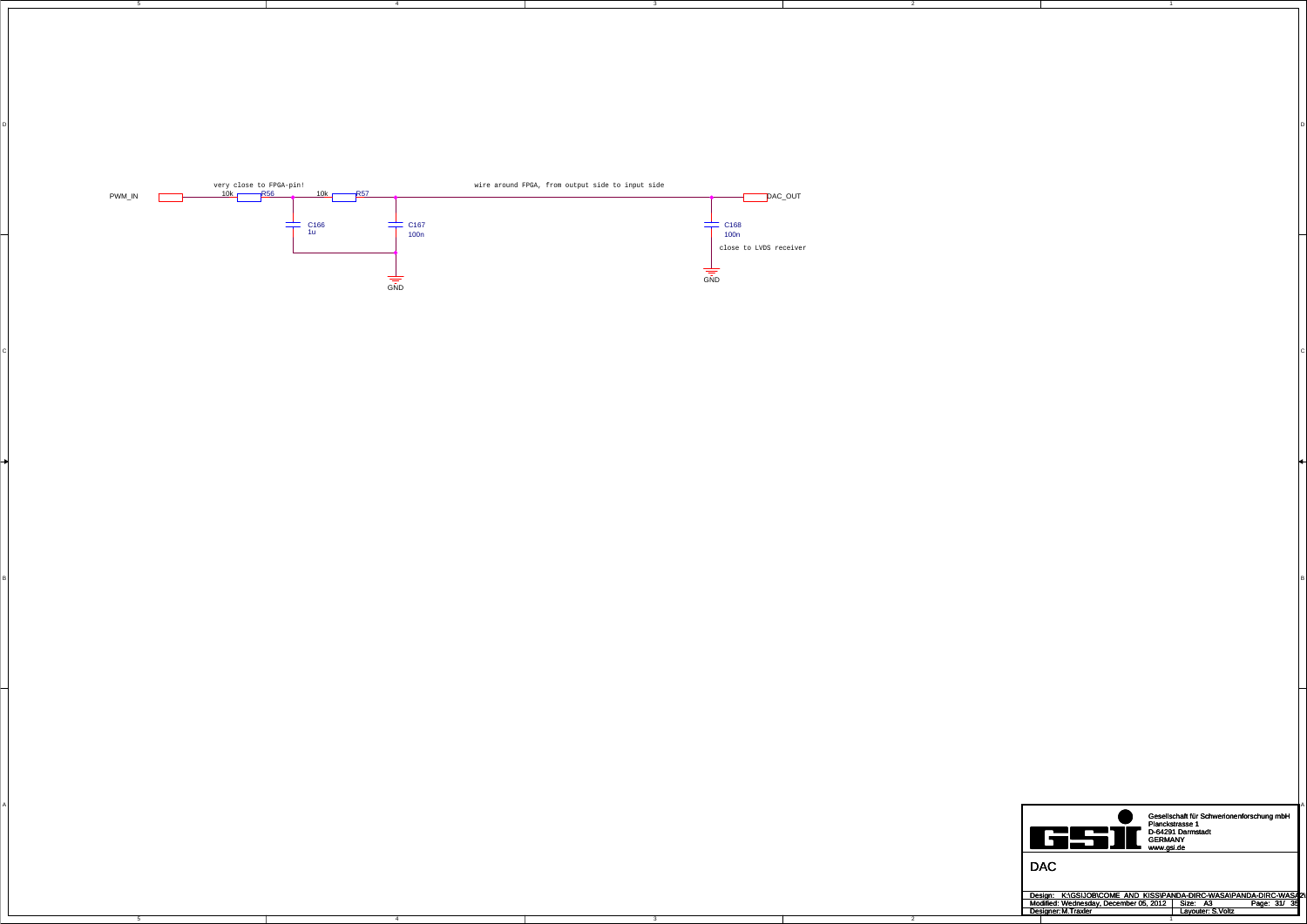4

4

5

3

D<br>D

 $\mathsf{C}$ 

B<br>B

3

2

2

C

A



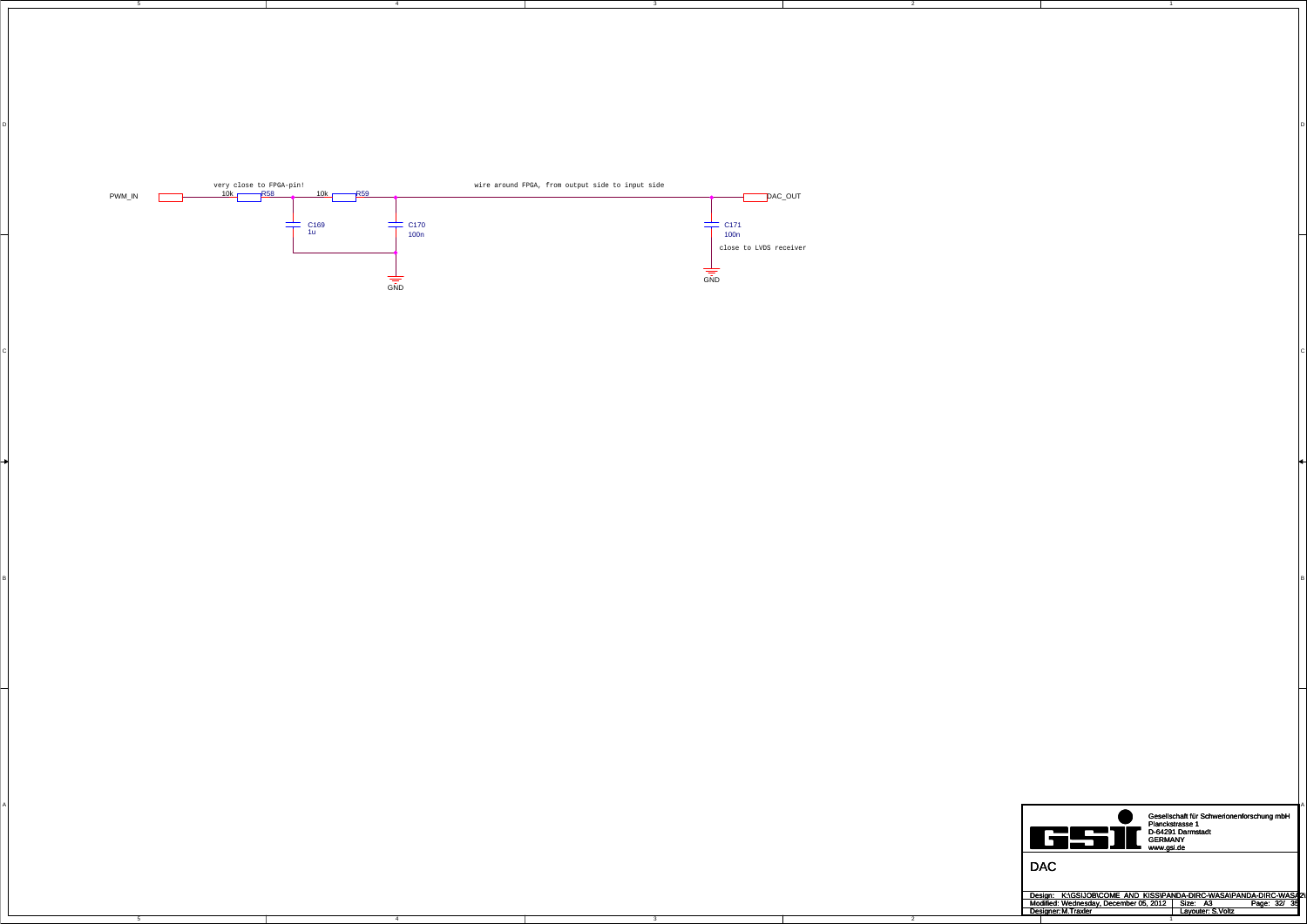4

4

5

3

D<br>D

 $\mathsf{C}$ 

B<br>B

3

2

2

C

A



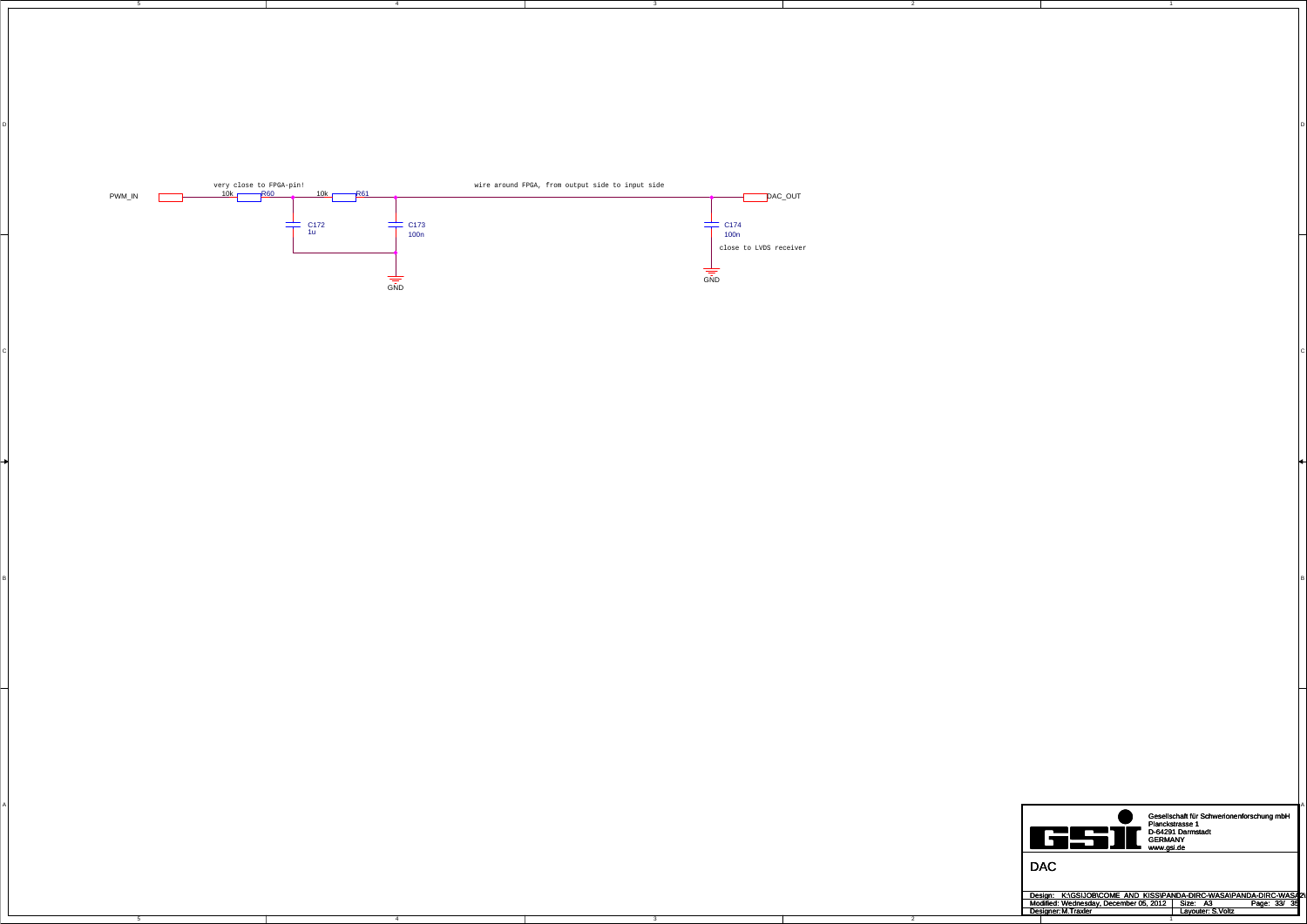4

4

5

3

D<br>D

 $\mathsf{C}$ 

B<br>B

3

2

2

C

A



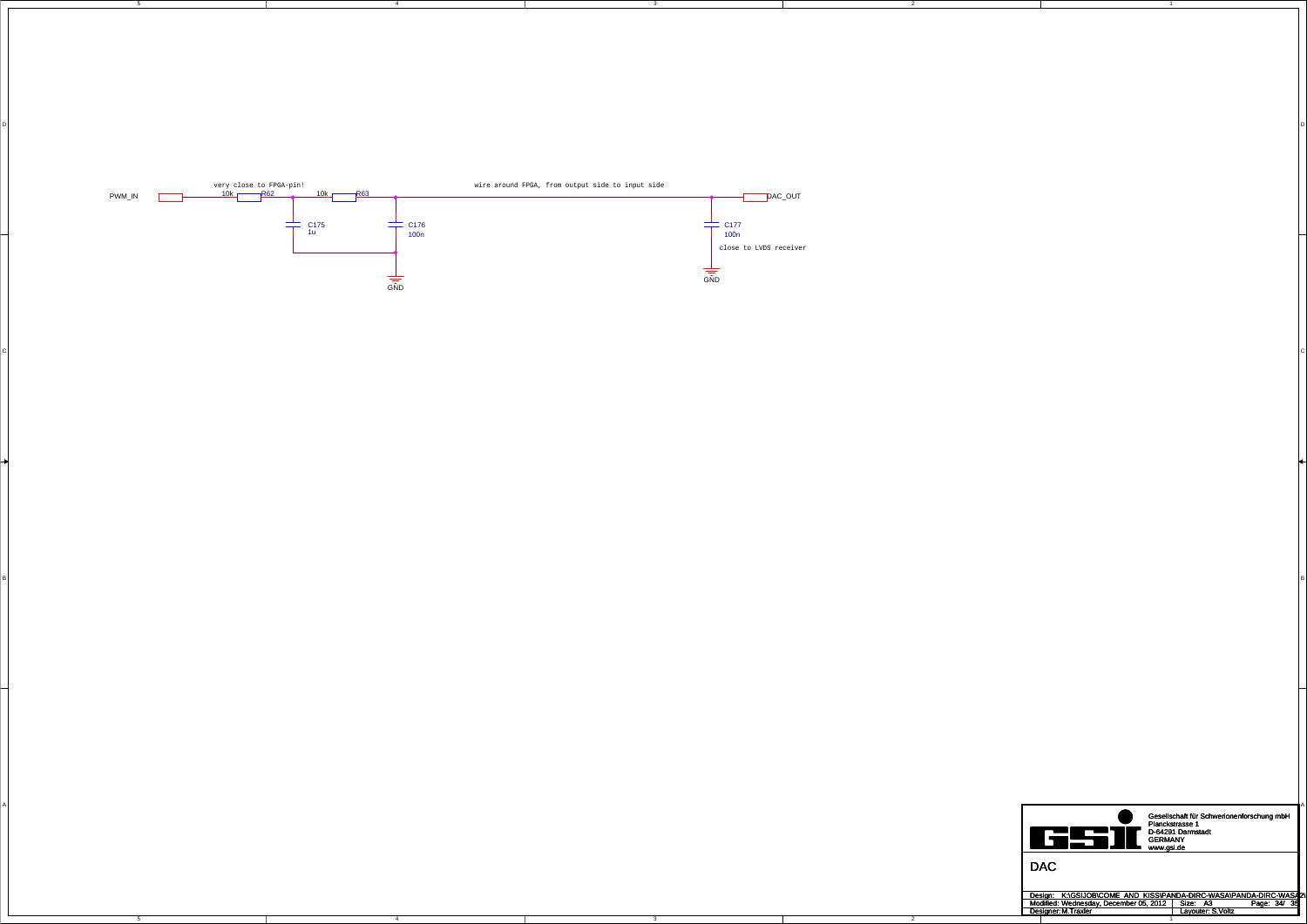4

4

5

3

D<br>D

 $\mathsf{C}$ 

B<br>B

3

2

2

C

A



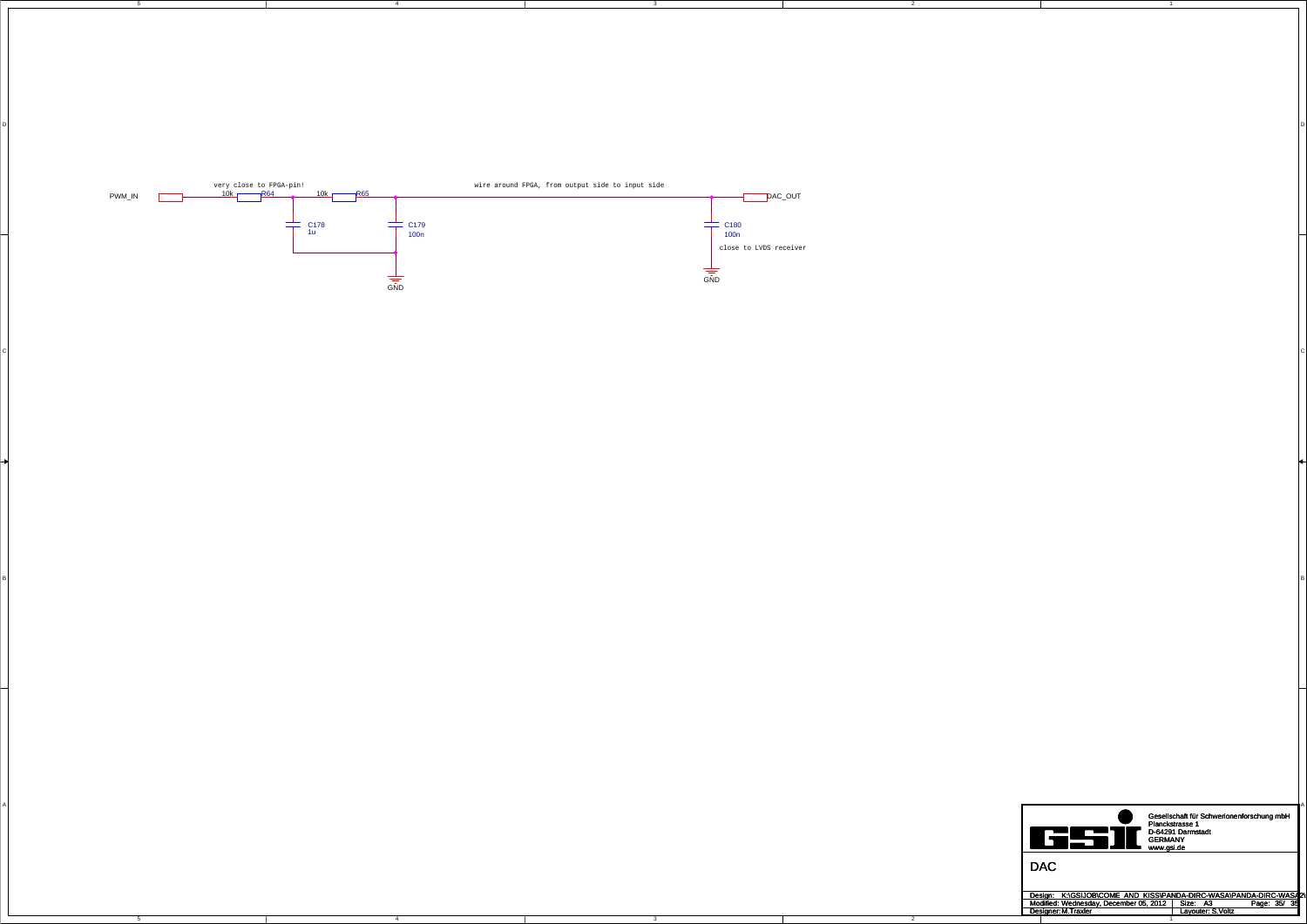4

4

5

3

D<br>D

 $\mathsf{C}$ 

B<br>B

3

2

2

C

A



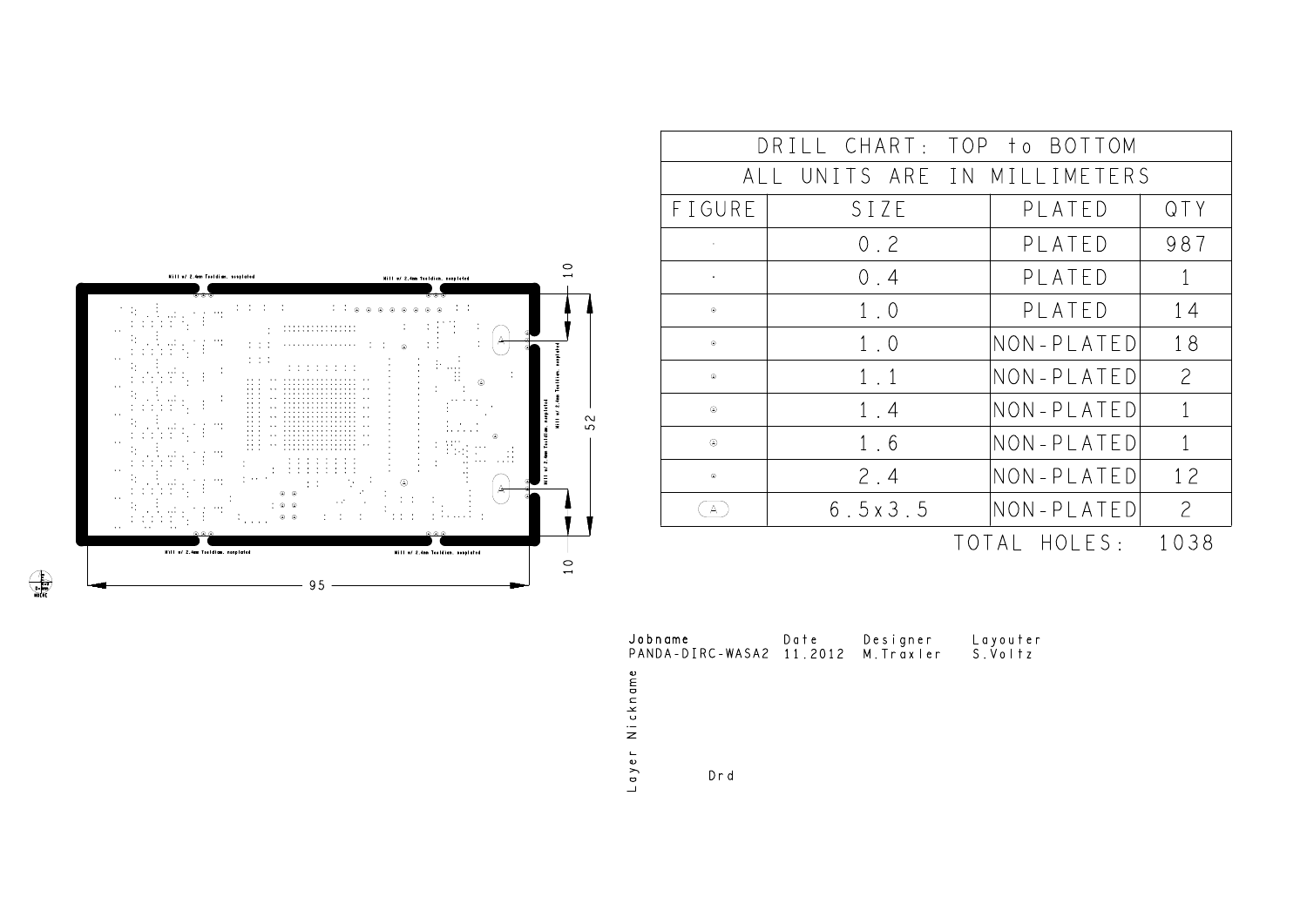|                | DRILL CHART: TOP to BOTTOM   |            |                |
|----------------|------------------------------|------------|----------------|
|                | ALL UNITS ARE IN MILLIMETERS |            |                |
| FIGURE         | SIZE                         | PLATED     | QTY            |
|                | 0.2                          | PLATED     | 987            |
|                | 0.4                          | PLATED     | 1              |
| $^\circledR$   | $1 \cdot 0$                  | PLATED     | 14             |
| $\circledcirc$ | 1.0                          | NON-PLATED | 18             |
| $^{\circ}$     | $1 \t1$                      | NON-PLATED | $\mathcal{P}$  |
| $\circledR$    | 1.4                          | NON-PLATED | $\mathbf{1}$   |
| $\circledR$    | 1.6                          | NON-PLATED | $\mathbf{1}$   |
| $^{\circ}$     | 2.4                          | NON-PLATED | 1 <sup>2</sup> |
| Α              | 6.5x3.5                      | NON-PLATED | $\overline{a}$ |

TOTAL HOLES: 1038



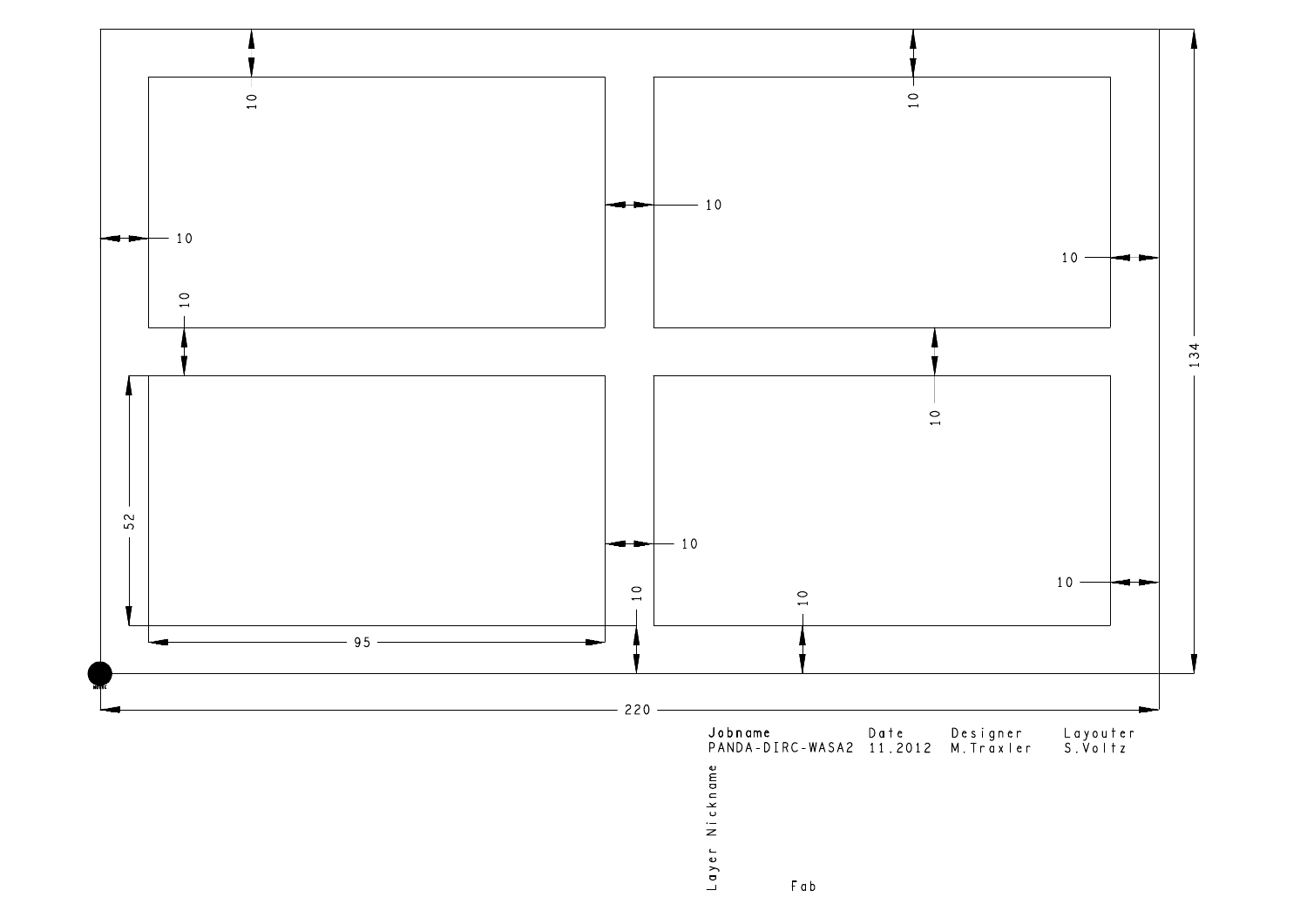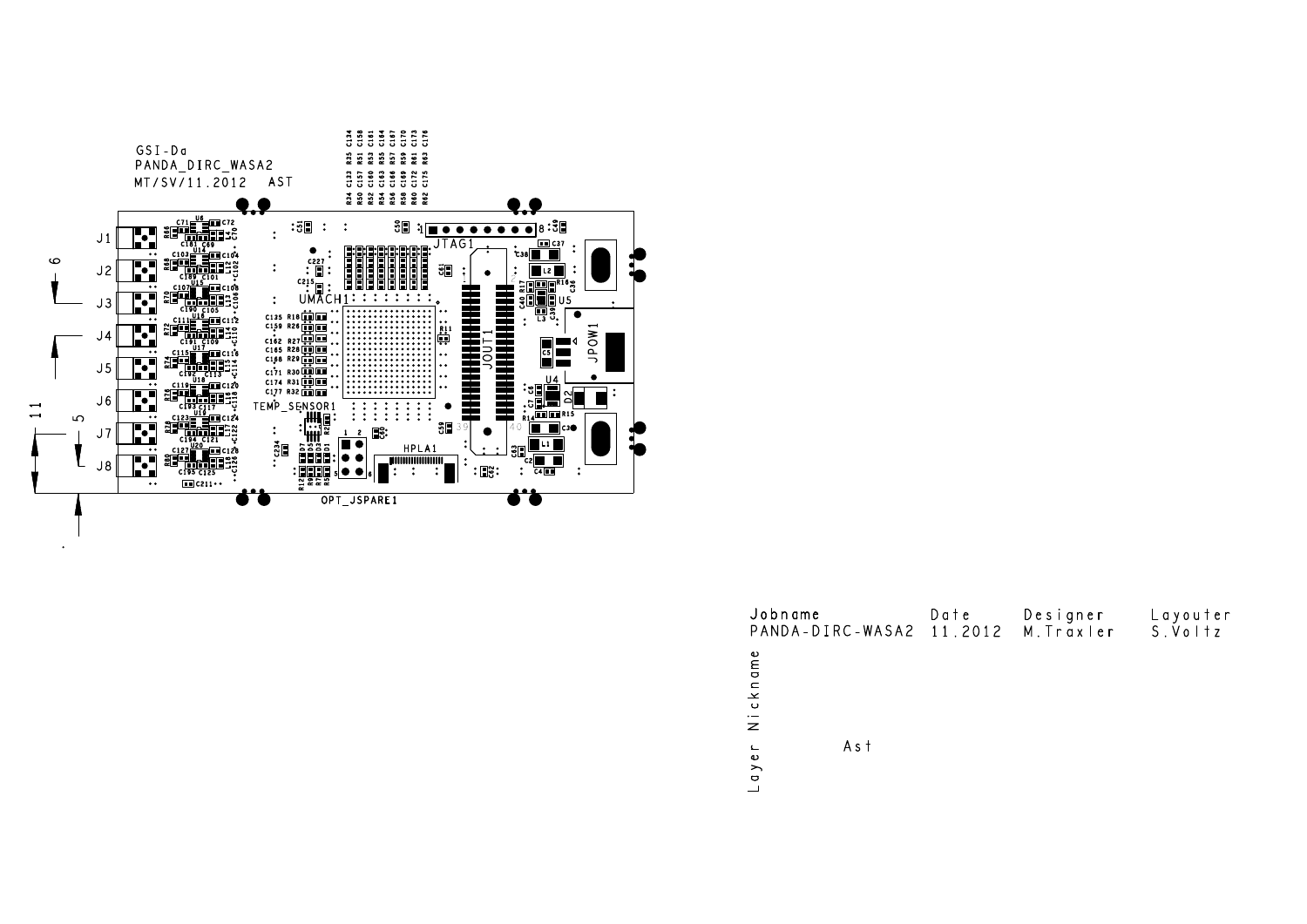

 $\ddot{\phantom{a}}$ 

| Jobname<br>PANDA-DIRC-WASA2 11.2012           | Date | Designer<br>M. Traxler | Layouter<br>S.Voltz |
|-----------------------------------------------|------|------------------------|---------------------|
| kname<br>$\overline{N}$ i $\overline{C}$      |      |                        |                     |
| A s t<br>$\mathrel{\mathsf{L}}$<br>$q \vee e$ |      |                        |                     |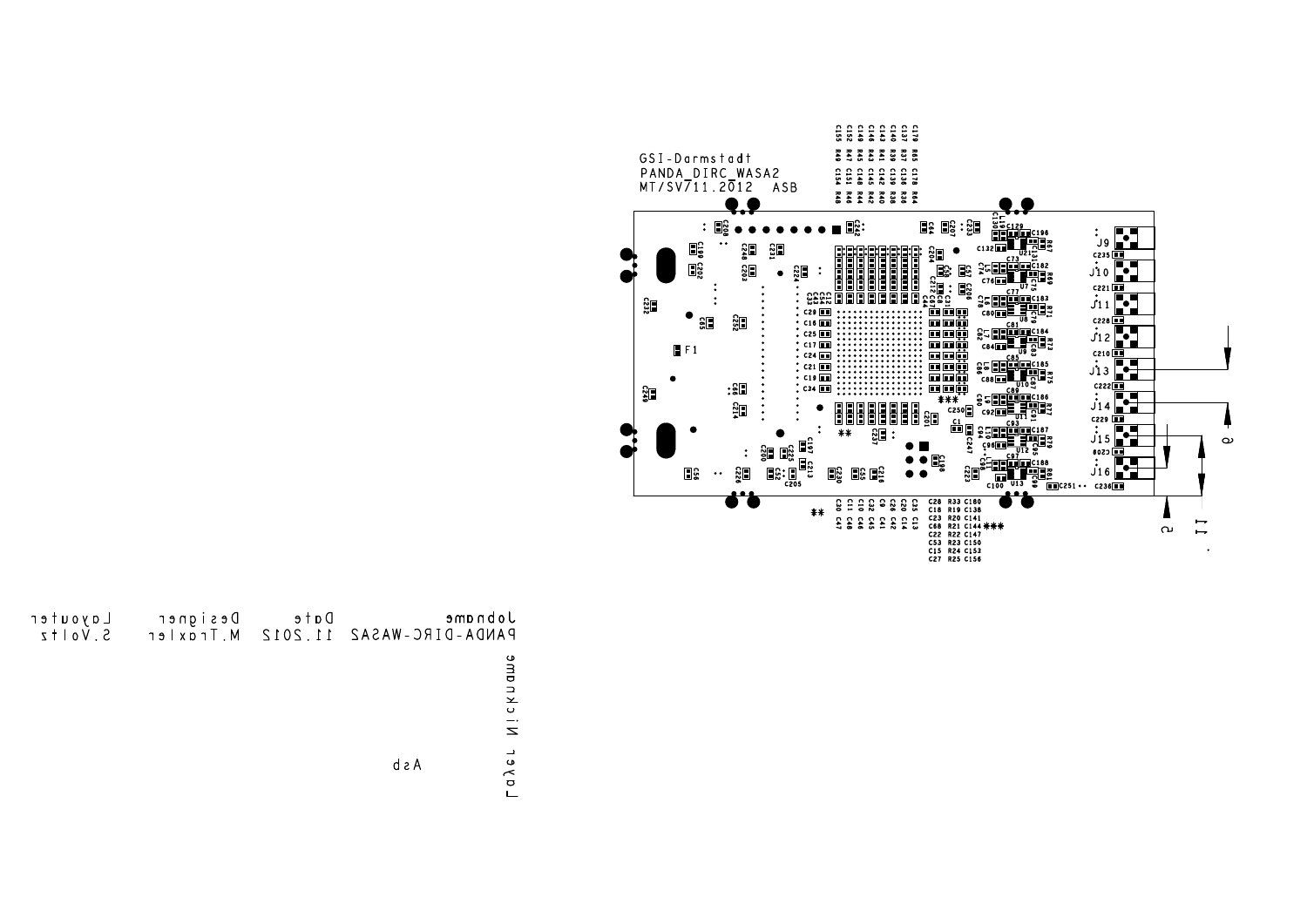

| Jobname<br>$PANDA-DIRC-WASAZ$ | Date | Designer<br>11.2012 M. Traxler | Layouter<br>$5. Vo1+z$ |
|-------------------------------|------|--------------------------------|------------------------|
| ckname<br>$\overline{z}$      |      |                                |                        |
| aleL<br>d a A                 |      |                                |                        |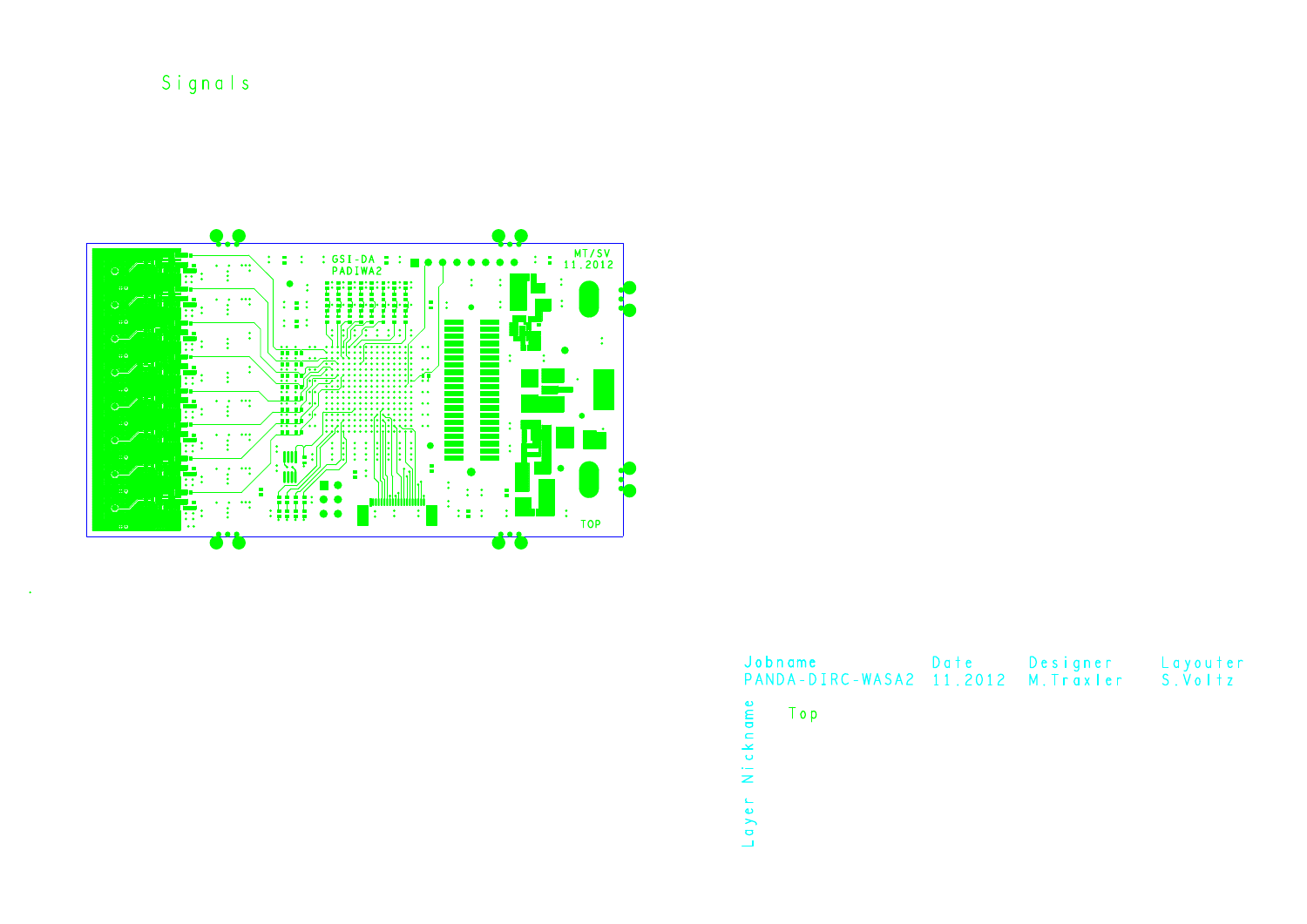Signals



|          | Jobname<br>PANDA-DIRC-WASA2 11.2012 M. Traxler S. Voltz | Date | Designer Layouter |  |
|----------|---------------------------------------------------------|------|-------------------|--|
| Nickname | Top                                                     |      |                   |  |
| $\omega$ |                                                         |      |                   |  |

 $\mathsf{L}$  a  $\mathsf{y}$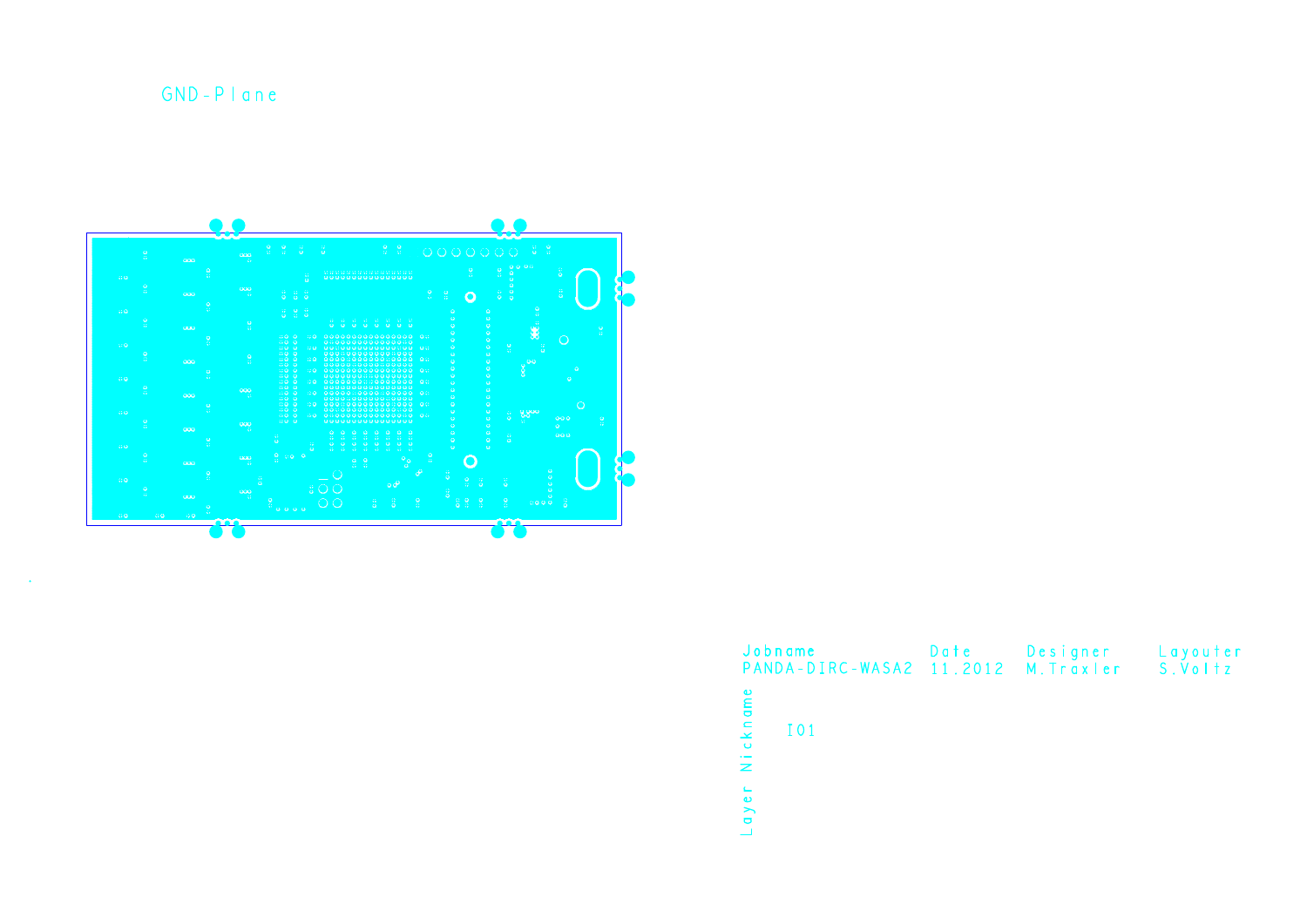$GND - P I$ ane

 $\Delta$ 



| Jobname<br>PANDA-DIRC-WASA2 11.2012 | Date | Designer<br>M. Traxler | Layouter<br>S.Voltz |
|-------------------------------------|------|------------------------|---------------------|
| Nickname<br>101                     |      |                        |                     |
| q y e r                             |      |                        |                     |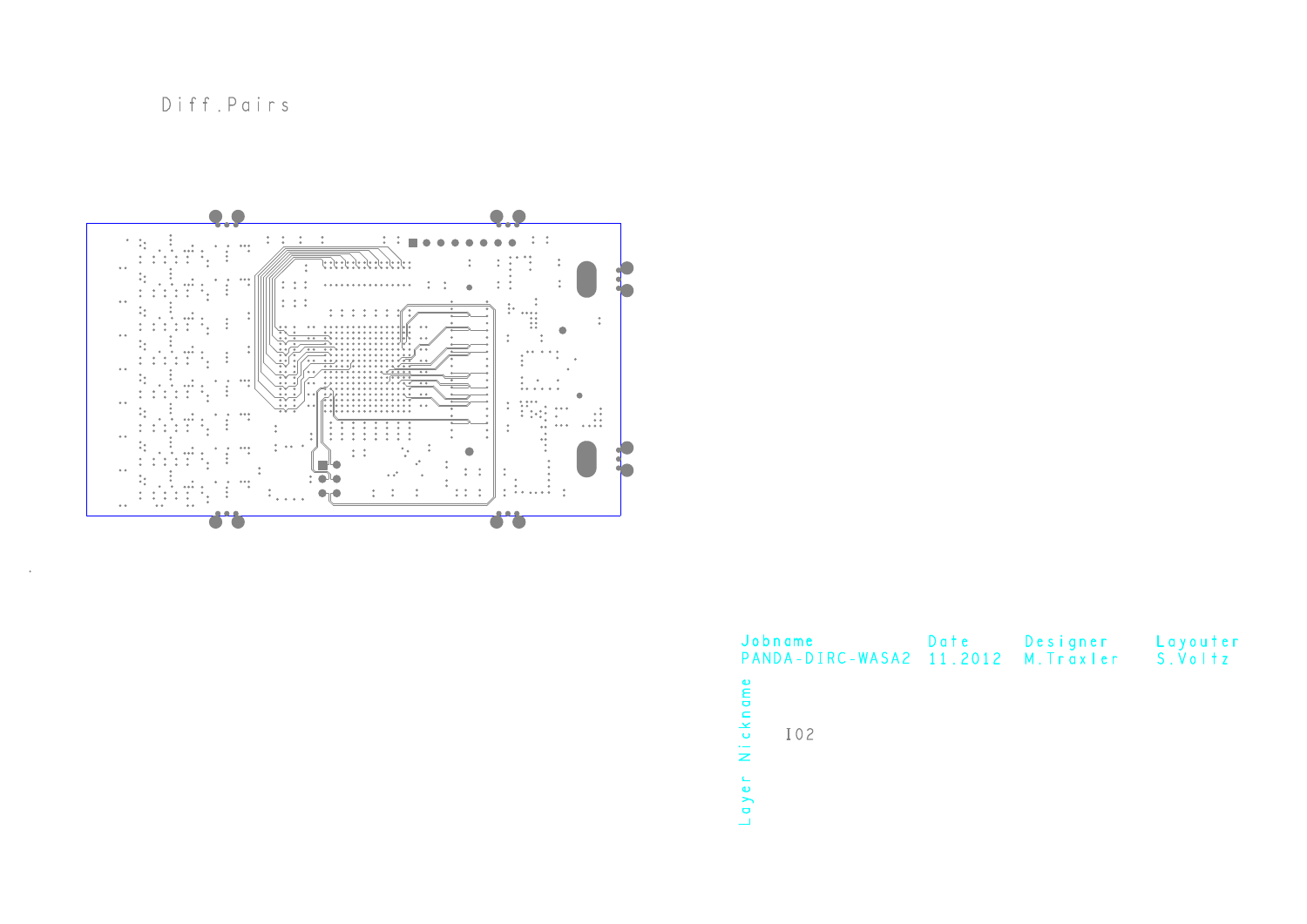Diff.Pairs

 $\sim$ 



| Jobname                     | PANDA-DIRC-WASA2 11.2012 | Date | Designer<br>M. Traxler | Layouter<br>S.Voltz |
|-----------------------------|--------------------------|------|------------------------|---------------------|
| Nickname<br>I02             |                          |      |                        |                     |
| $\sqsubseteq$<br>$q \vee e$ |                          |      |                        |                     |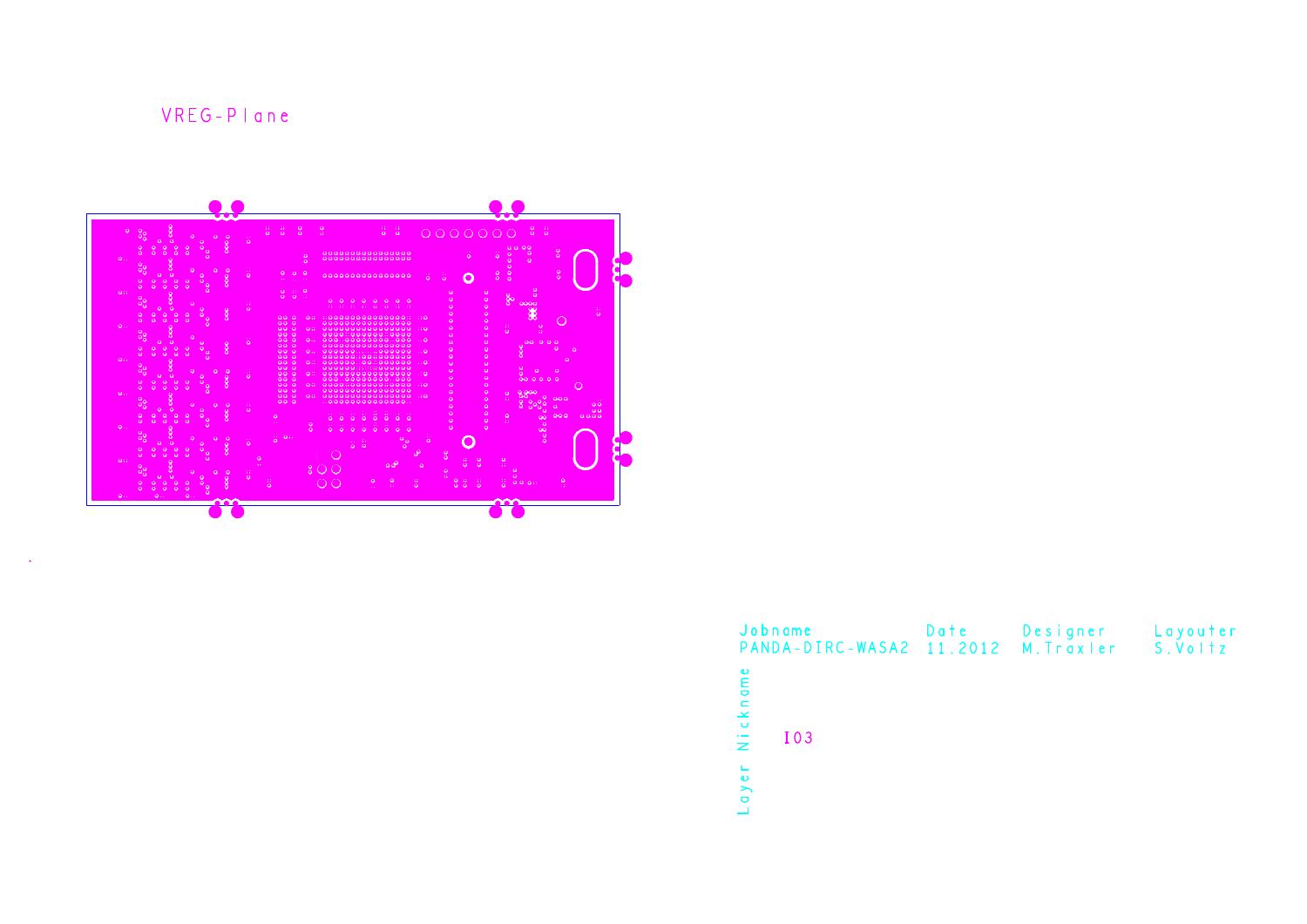## VREG-Plane



| Jobname<br>PANDA-DIRC-WASA2 11.2012 M. Traxler | Date | Designer | Layouter<br>S.VoItz |
|------------------------------------------------|------|----------|---------------------|
| Nickname<br>I03                                |      |          |                     |
| aye                                            |      |          |                     |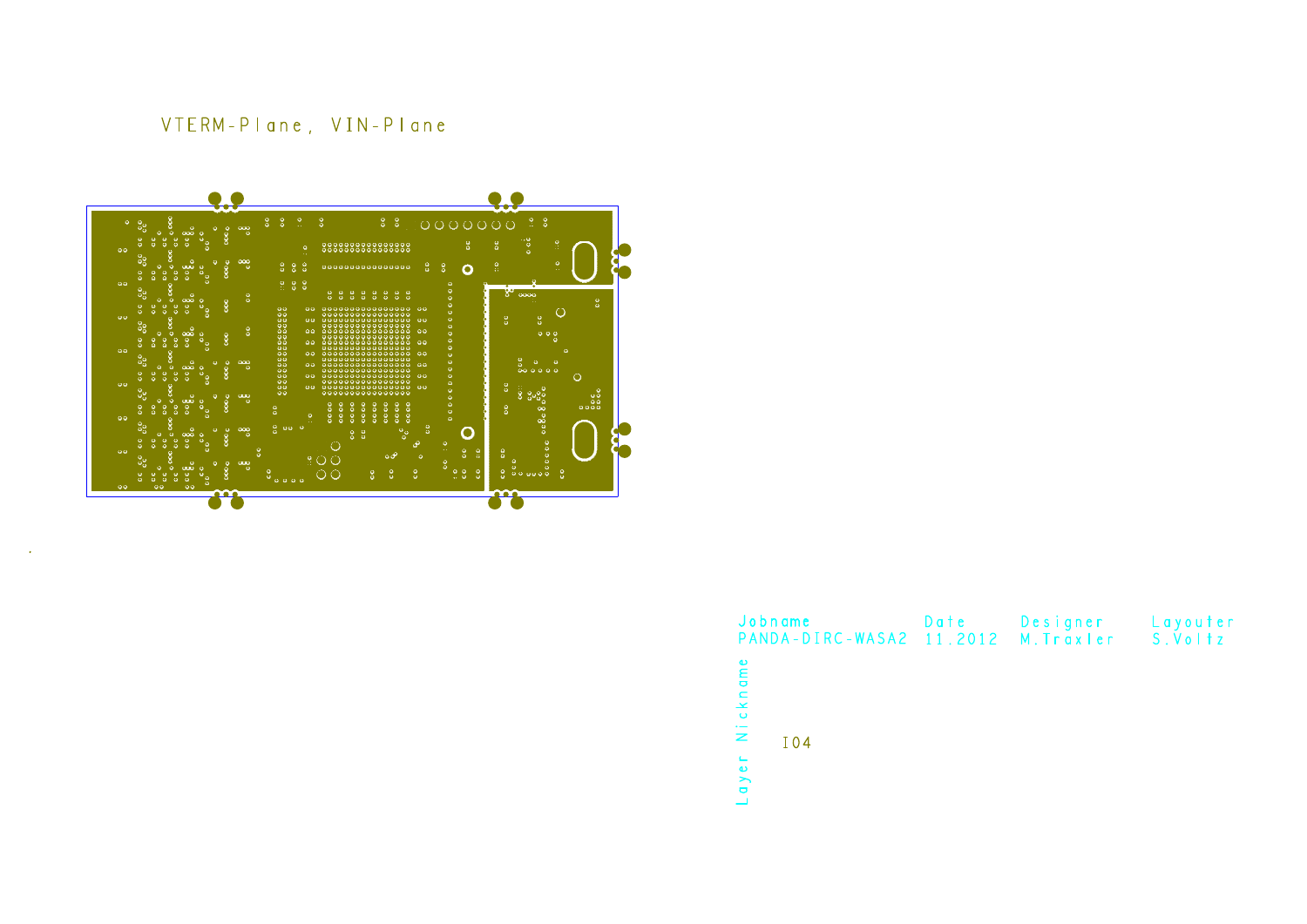## VTERM-Plane, VIN-Plane

 $\mathcal{L}$ 



| Jobname<br>PANDA-DIRC-WASA2 11.2012 M. Traxler S. Voltz | Date | Designer | Layouter |
|---------------------------------------------------------|------|----------|----------|
| Nickname<br>I 0 4<br>ayer                               |      |          |          |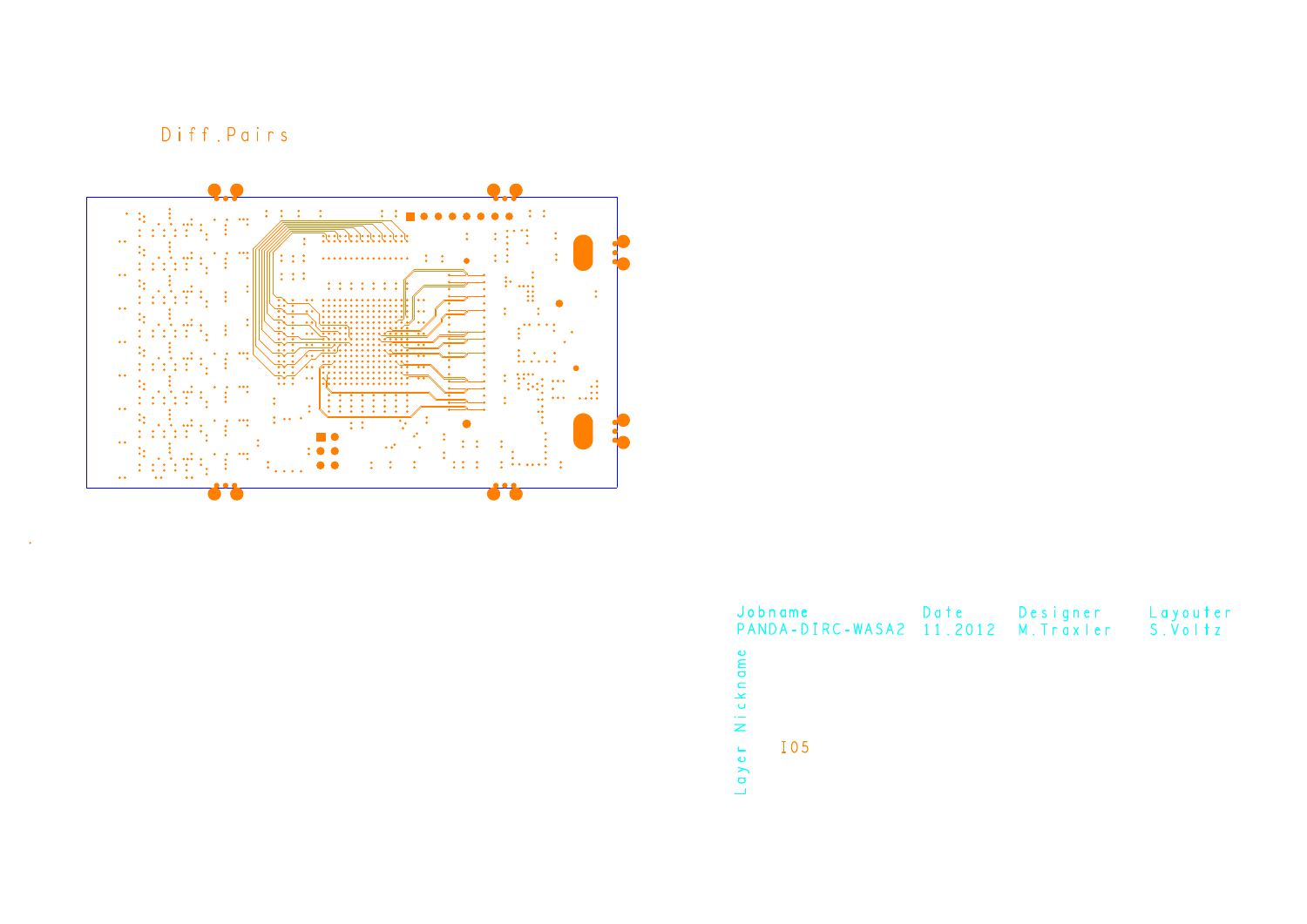Diff.Pairs

 $\sim$ 



| Jobname<br>PANDA-DIRC-WASA2 11.2012    | Date | Designer<br>M. Traxler S. Voltz | Layouter |
|----------------------------------------|------|---------------------------------|----------|
| Nickname<br>$q \vee e \vdash$<br>I 0 5 |      |                                 |          |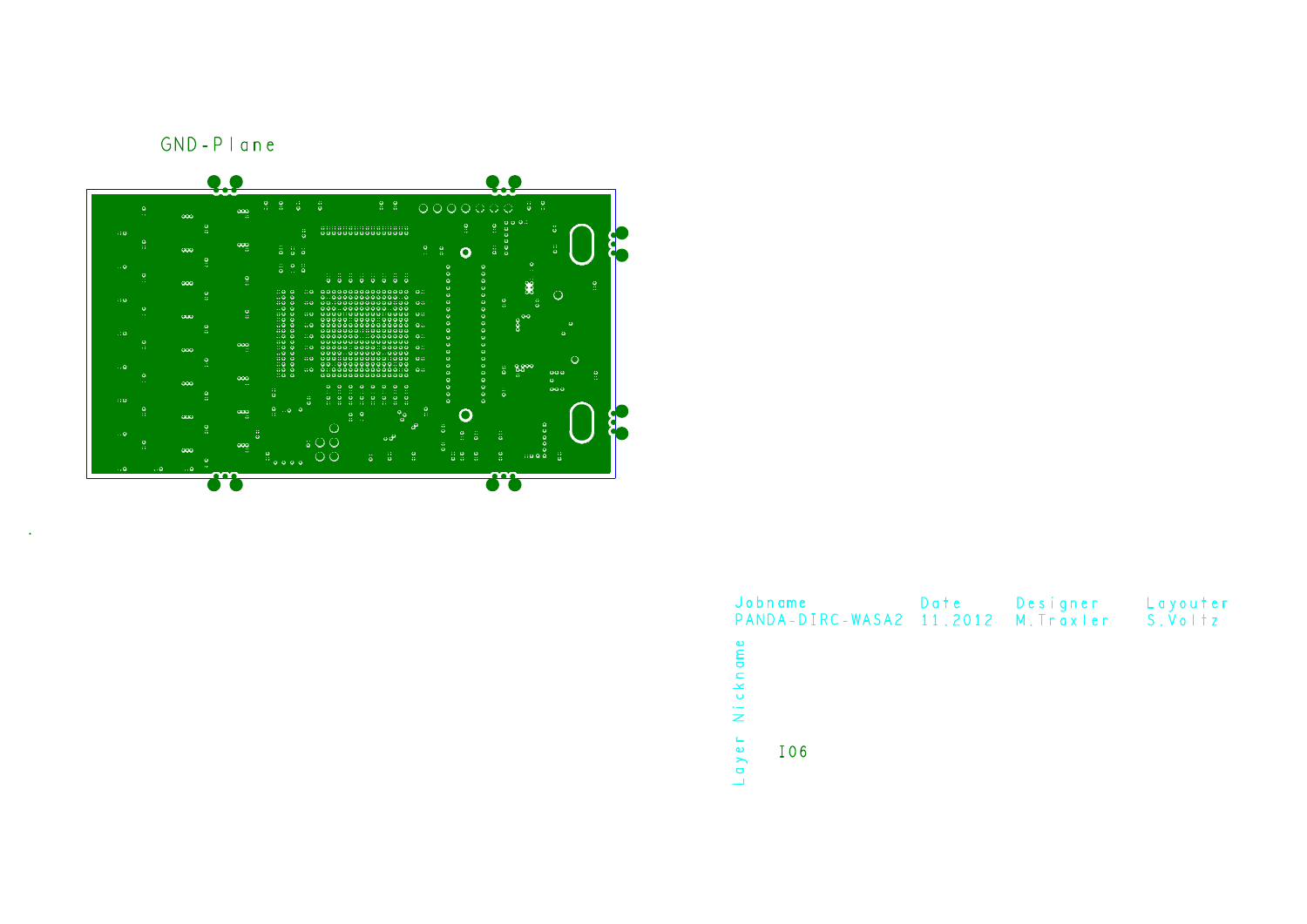

| Jobname<br>PANDA-DIRC-WASA2 11.2012 M. Traxler S. Voltz | Date | Designer | Layouter |
|---------------------------------------------------------|------|----------|----------|
| Nickname                                                |      |          |          |
| q y e r<br>I06                                          |      |          |          |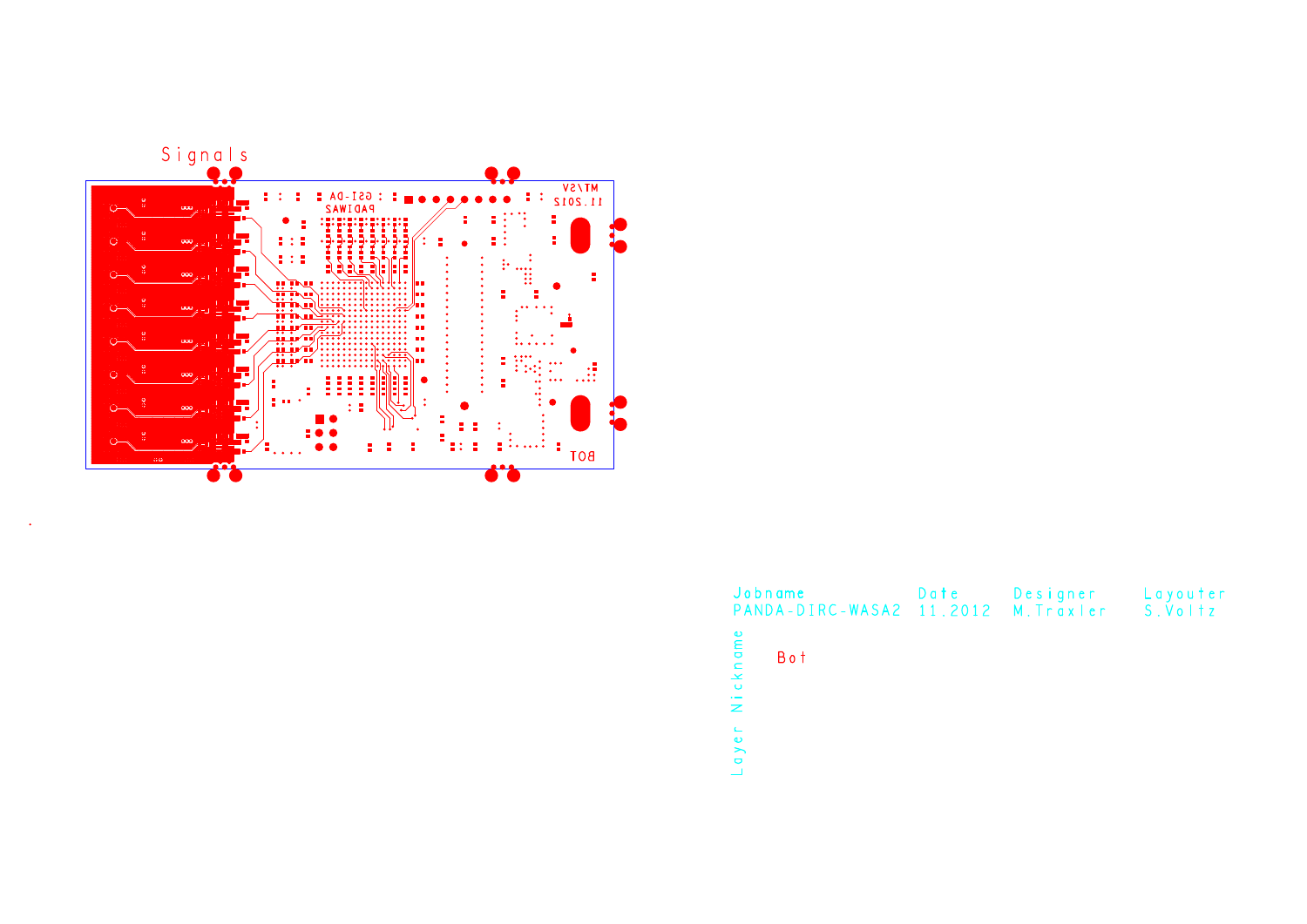

| Jobname<br>PANDA-DIRC-WASA2 11.2012 M. Traxler S. Voltz | Date | Designer | Layouter |  |  |
|---------------------------------------------------------|------|----------|----------|--|--|
| Nickname<br>Bot                                         |      |          |          |  |  |
| $\mathsf{y}$ e                                          |      |          |          |  |  |
| $\overline{a}$                                          |      |          |          |  |  |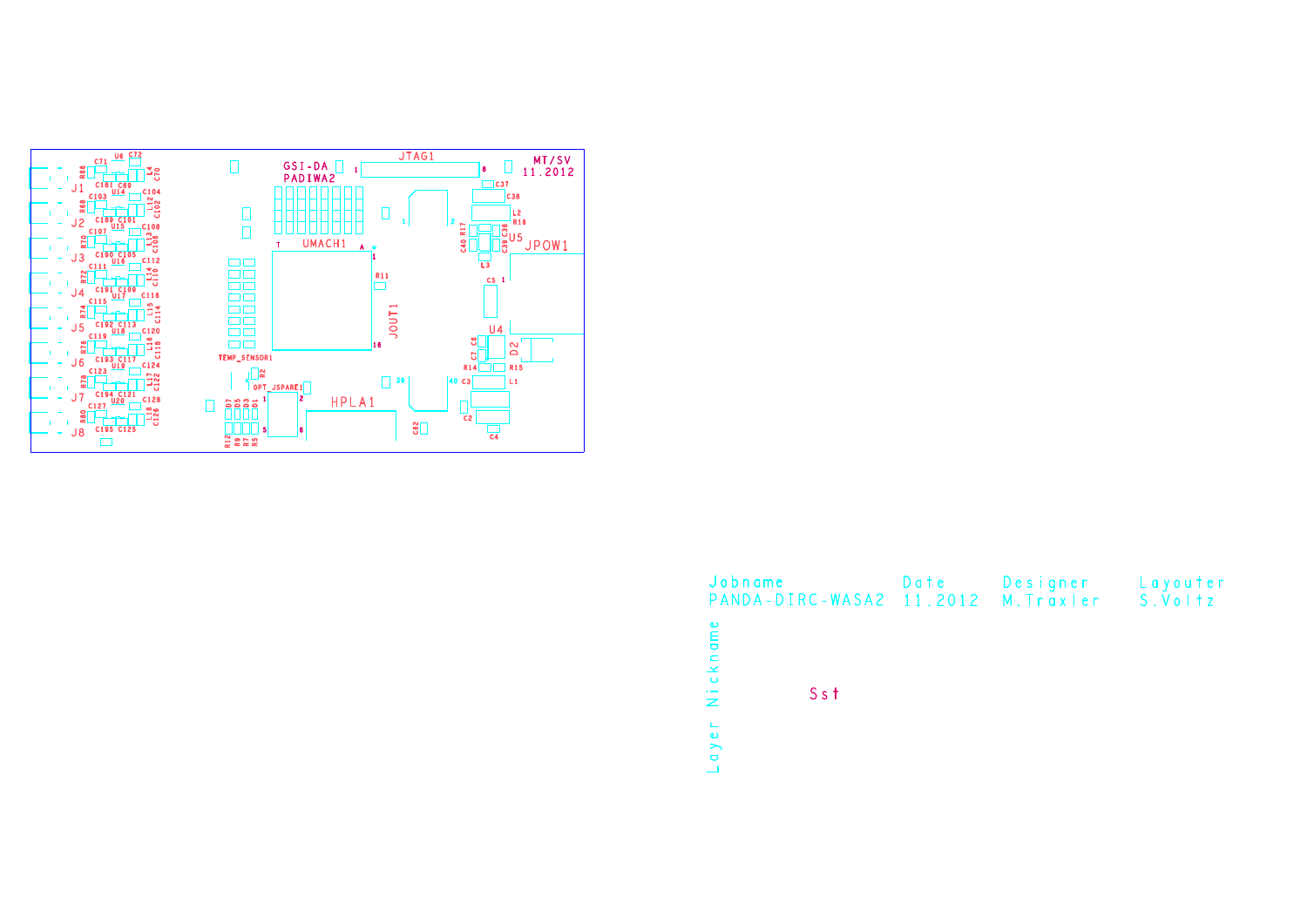

| Jobname<br>PANDA-DIRC-WASA2 11.2012 M. Traxler S. Voltz | Date | Designer | Layouter |
|---------------------------------------------------------|------|----------|----------|
| Nickname<br>$Ss$ †                                      |      |          |          |
| $\mathbb{L}$<br>$q \vee e$                              |      |          |          |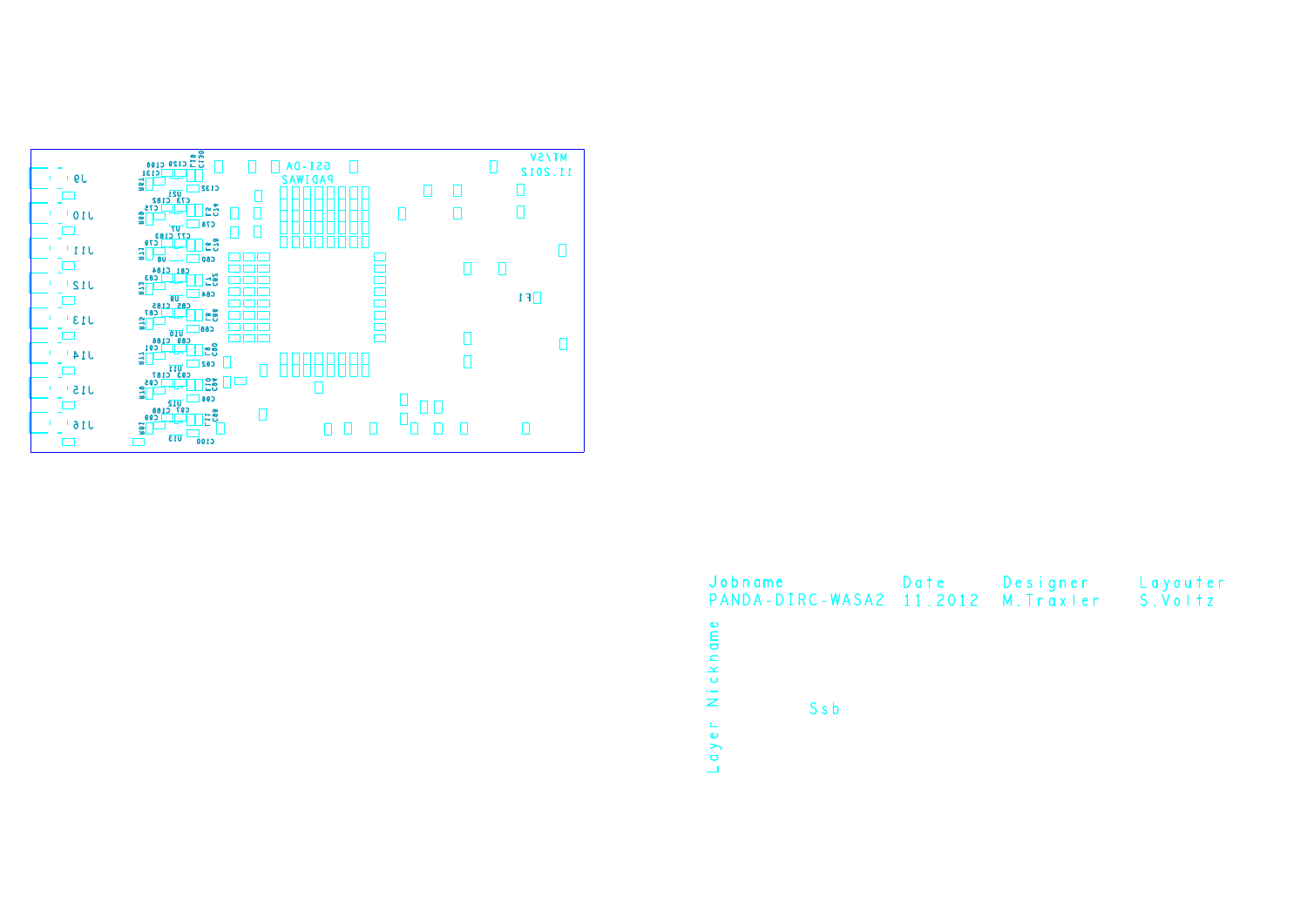

| Jobname                                      | Date | Designer | Layouter |
|----------------------------------------------|------|----------|----------|
| PANDA-DIRC-WASA2 11.2012 M. Traxler S. Voltz |      |          |          |
|                                              |      |          |          |
| ame                                          |      |          |          |
| Nickno                                       |      |          |          |
|                                              |      |          |          |
|                                              |      |          |          |
| S <sub>s</sub> b                             |      |          |          |
| $\sqsubseteq$<br>$\bullet$                   |      |          |          |
| $\rightarrow$<br>$\bullet$                   |      |          |          |
|                                              |      |          |          |